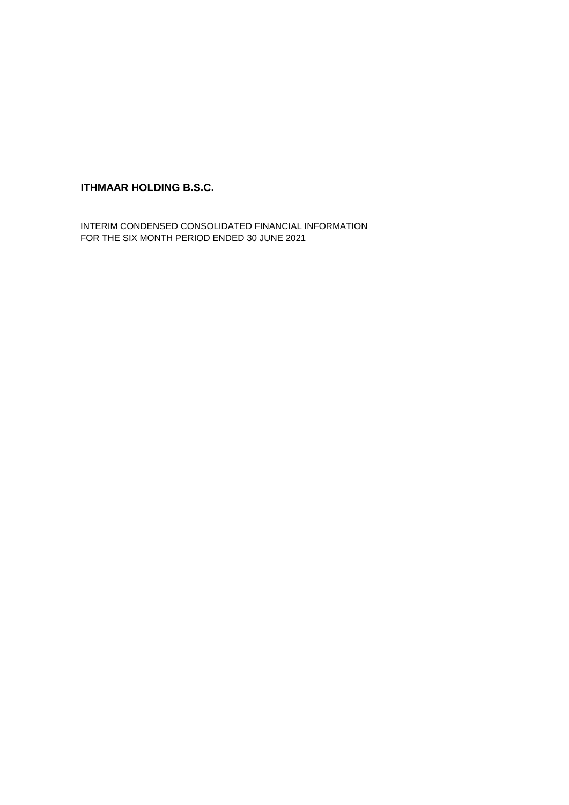## **ITHMAAR HOLDING B.S.C.**

INTERIM CONDENSED CONSOLIDATED FINANCIAL INFORMATION FOR THE SIX MONTH PERIOD ENDED 30 JUNE 2021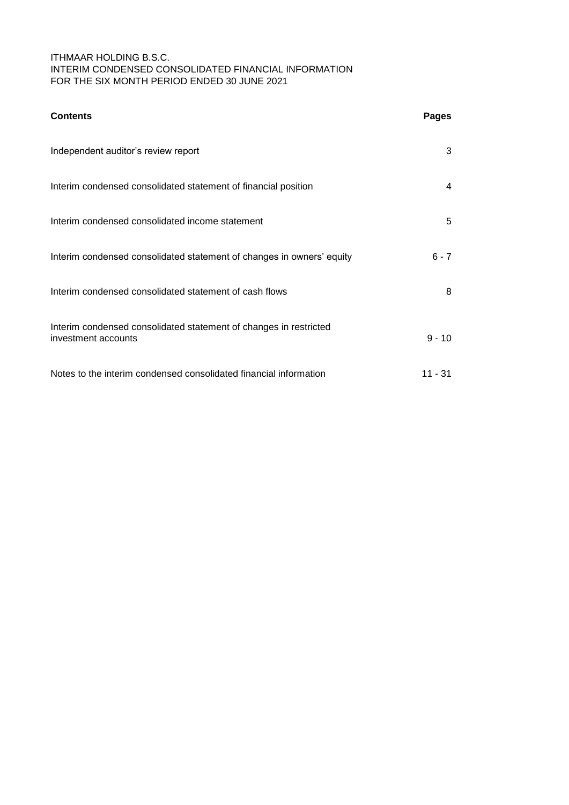### ITHMAAR HOLDING B.S.C. INTERIM CONDENSED CONSOLIDATED FINANCIAL INFORMATION FOR THE SIX MONTH PERIOD ENDED 30 JUNE 2021

| <b>Contents</b>                                                                          | <b>Pages</b> |
|------------------------------------------------------------------------------------------|--------------|
| Independent auditor's review report                                                      | 3            |
| Interim condensed consolidated statement of financial position                           | 4            |
| Interim condensed consolidated income statement                                          | 5            |
| Interim condensed consolidated statement of changes in owners' equity                    | $6 - 7$      |
| Interim condensed consolidated statement of cash flows                                   | 8            |
| Interim condensed consolidated statement of changes in restricted<br>investment accounts | $9 - 10$     |
| Notes to the interim condensed consolidated financial information                        | 11 - 31      |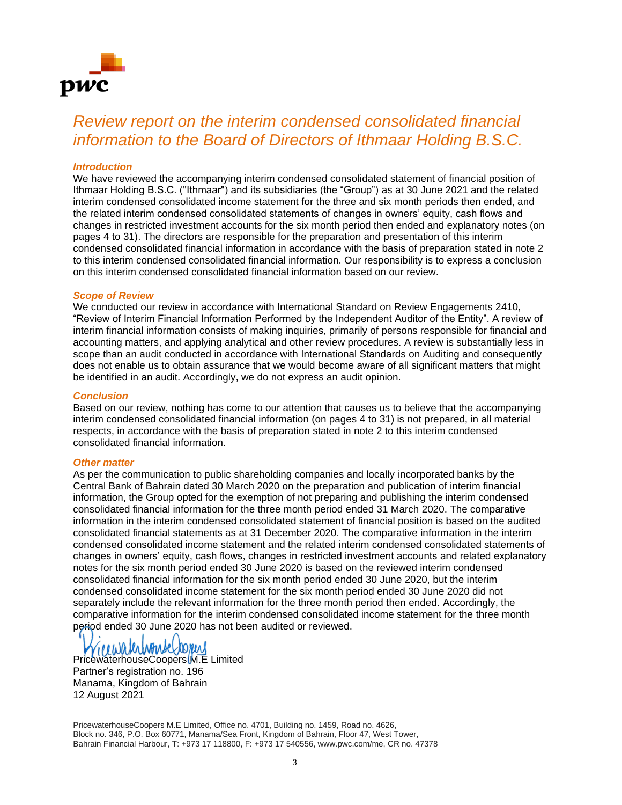

# *Review report on the interim condensed consolidated financial information to the Board of Directors of Ithmaar Holding B.S.C.*

### *Introduction*

We have reviewed the accompanying interim condensed consolidated statement of financial position of Ithmaar Holding B.S.C. ("Ithmaar") and its subsidiaries (the "Group") as at 30 June 2021 and the related interim condensed consolidated income statement for the three and six month periods then ended, and the related interim condensed consolidated statements of changes in owners' equity, cash flows and changes in restricted investment accounts for the six month period then ended and explanatory notes (on pages 4 to 31). The directors are responsible for the preparation and presentation of this interim condensed consolidated financial information in accordance with the basis of preparation stated in note 2 to this interim condensed consolidated financial information. Our responsibility is to express a conclusion on this interim condensed consolidated financial information based on our review.

### *Scope of Review*

We conducted our review in accordance with International Standard on Review Engagements 2410, "Review of Interim Financial Information Performed by the Independent Auditor of the Entity". A review of interim financial information consists of making inquiries, primarily of persons responsible for financial and accounting matters, and applying analytical and other review procedures. A review is substantially less in scope than an audit conducted in accordance with International Standards on Auditing and consequently does not enable us to obtain assurance that we would become aware of all significant matters that might be identified in an audit. Accordingly, we do not express an audit opinion.

### *Conclusion*

Based on our review, nothing has come to our attention that causes us to believe that the accompanying interim condensed consolidated financial information (on pages 4 to 31) is not prepared, in all material respects, in accordance with the basis of preparation stated in note 2 to this interim condensed consolidated financial information.

### *Other matter*

As per the communication to public shareholding companies and locally incorporated banks by the Central Bank of Bahrain dated 30 March 2020 on the preparation and publication of interim financial information, the Group opted for the exemption of not preparing and publishing the interim condensed consolidated financial information for the three month period ended 31 March 2020. The comparative information in the interim condensed consolidated statement of financial position is based on the audited consolidated financial statements as at 31 December 2020. The comparative information in the interim condensed consolidated income statement and the related interim condensed consolidated statements of changes in owners' equity, cash flows, changes in restricted investment accounts and related explanatory notes for the six month period ended 30 June 2020 is based on the reviewed interim condensed consolidated financial information for the six month period ended 30 June 2020, but the interim condensed consolidated income statement for the six month period ended 30 June 2020 did not separately include the relevant information for the three month period then ended. Accordingly, the comparative information for the interim condensed consolidated income statement for the three month period ended 30 June 2020 has not been audited or reviewed.

recuratedromse

PricewaterhouseCoopers M.E Limited Partner's registration no. 196 Manama, Kingdom of Bahrain 12 August 2021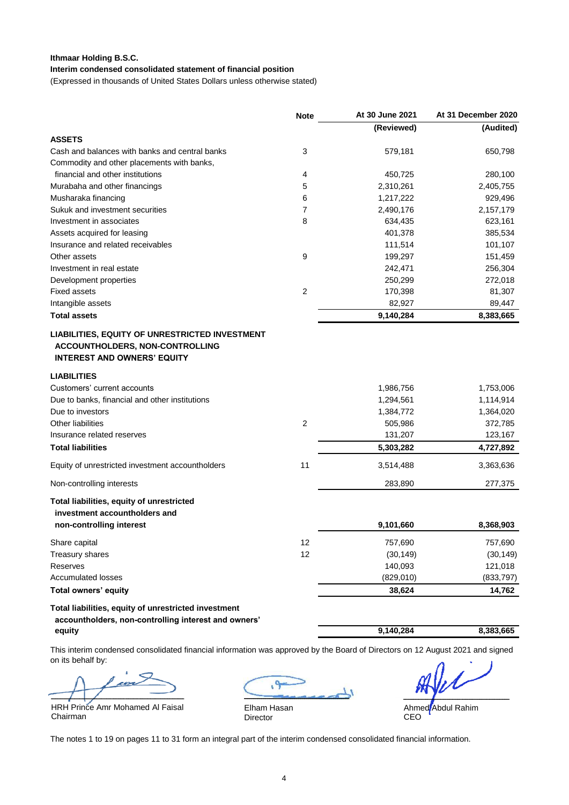### **Ithmaar Holding B.S.C.**

### **Interim condensed consolidated statement of financial position**

(Expressed in thousands of United States Dollars unless otherwise stated)

|                                                                                                                        | <b>Note</b>    | At 30 June 2021                                | At 31 December 2020                            |
|------------------------------------------------------------------------------------------------------------------------|----------------|------------------------------------------------|------------------------------------------------|
|                                                                                                                        |                | (Reviewed)                                     | (Audited)                                      |
| <b>ASSETS</b>                                                                                                          |                |                                                |                                                |
| Cash and balances with banks and central banks                                                                         | 3              | 579,181                                        | 650,798                                        |
| Commodity and other placements with banks,                                                                             |                |                                                |                                                |
| financial and other institutions                                                                                       | 4              | 450,725                                        | 280,100                                        |
| Murabaha and other financings                                                                                          | 5              | 2,310,261                                      | 2,405,755                                      |
| Musharaka financing                                                                                                    | 6              | 1,217,222                                      | 929,496                                        |
| Sukuk and investment securities                                                                                        | 7              | 2,490,176                                      | 2,157,179                                      |
| Investment in associates                                                                                               | 8              | 634,435                                        | 623,161                                        |
| Assets acquired for leasing                                                                                            |                | 401,378                                        | 385,534                                        |
| Insurance and related receivables                                                                                      |                | 111,514                                        | 101,107                                        |
| Other assets                                                                                                           | 9              | 199,297                                        | 151,459                                        |
| Investment in real estate                                                                                              |                | 242,471                                        | 256,304                                        |
| Development properties                                                                                                 |                | 250,299                                        | 272,018                                        |
| <b>Fixed assets</b>                                                                                                    | $\overline{2}$ | 170,398                                        | 81,307                                         |
| Intangible assets                                                                                                      |                | 82,927                                         | 89,447                                         |
| <b>Total assets</b>                                                                                                    |                | 9,140,284                                      | 8,383,665                                      |
| Customers' current accounts<br>Due to banks, financial and other institutions<br>Due to investors<br>Other liabilities | $\overline{2}$ | 1,986,756<br>1,294,561<br>1,384,772<br>505,986 | 1,753,006<br>1,114,914<br>1,364,020<br>372,785 |
| Insurance related reserves                                                                                             |                | 131,207                                        | 123,167                                        |
| <b>Total liabilities</b>                                                                                               |                | 5,303,282                                      | 4,727,892                                      |
| Equity of unrestricted investment accountholders                                                                       | 11             | 3,514,488                                      | 3,363,636                                      |
| Non-controlling interests                                                                                              |                | 283,890                                        | 277,375                                        |
| Total liabilities, equity of unrestricted<br>investment accountholders and<br>non-controlling interest                 |                | 9,101,660                                      | 8,368,903                                      |
| Share capital                                                                                                          | 12             | 757,690                                        | 757,690                                        |
| Treasury shares                                                                                                        | 12             | (30, 149)                                      | (30, 149)                                      |
| Reserves                                                                                                               |                | 140,093                                        | 121,018                                        |
| <b>Accumulated losses</b>                                                                                              |                | (829,010)                                      | (833, 797)                                     |
| Total owners' equity                                                                                                   |                | 38,624                                         | 14,762                                         |
| Total liabilities, equity of unrestricted investment<br>accountholders, non-controlling interest and owners'<br>equity |                | 9,140,284                                      | 8,383,665                                      |

This interim condensed consolidated financial information was approved by the Board of Directors on 12 August 2021 and signed on its behalf by:

 $\overline{\phant{ii}}$ 

HRH Prince Amr Mohamed Al Faisal Chairman

 $\frac{1}{2}$ ــــــــــــــــــــــــــــــــــــــــــــــــــــــ

Elham Hasan Director

ـــــــــــــــــــــــــــــــــــــــــــــــــــــــــــــــ

Ahmed Abdul Rahim CEO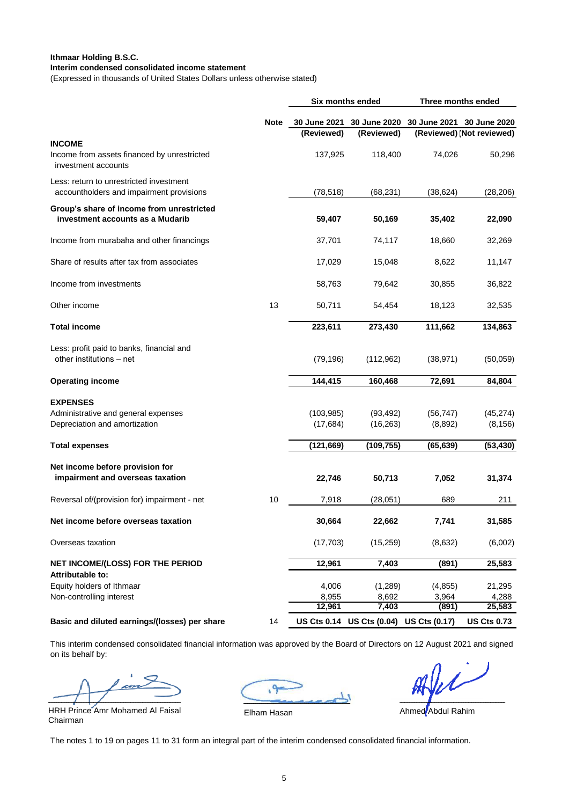### **Interim condensed consolidated income statement Ithmaar Holding B.S.C.**

(Expressed in thousands of United States Dollars unless otherwise stated)

|                                                                                         |             | Six months ended         |                                         | Three months ended         |                           |  |
|-----------------------------------------------------------------------------------------|-------------|--------------------------|-----------------------------------------|----------------------------|---------------------------|--|
|                                                                                         | <b>Note</b> | 30 June 2021             | 30 June 2020                            |                            | 30 June 2021 30 June 2020 |  |
|                                                                                         |             | (Reviewed)               | (Reviewed)                              |                            | (Reviewed) (Not reviewed) |  |
| <b>INCOME</b><br>Income from assets financed by unrestricted<br>investment accounts     |             | 137,925                  | 118,400                                 | 74,026                     | 50,296                    |  |
| Less: return to unrestricted investment<br>accountholders and impairment provisions     |             | (78, 518)                | (68, 231)                               | (38, 624)                  | (28, 206)                 |  |
| Group's share of income from unrestricted<br>investment accounts as a Mudarib           |             | 59,407                   | 50,169                                  | 35,402                     | 22,090                    |  |
| Income from murabaha and other financings                                               |             | 37,701                   | 74,117                                  | 18,660                     | 32,269                    |  |
| Share of results after tax from associates                                              |             | 17,029                   | 15,048                                  | 8,622                      | 11,147                    |  |
| Income from investments                                                                 |             | 58,763                   | 79,642                                  | 30,855                     | 36,822                    |  |
| Other income                                                                            | 13          | 50,711                   | 54,454                                  | 18,123                     | 32,535                    |  |
| <b>Total income</b>                                                                     |             | 223,611                  | 273,430                                 | 111,662                    | 134,863                   |  |
| Less: profit paid to banks, financial and<br>other institutions - net                   |             | (79, 196)                | (112,962)                               | (38, 971)                  | (50,059)                  |  |
| <b>Operating income</b>                                                                 |             | 144,415                  | 160,468                                 | 72,691                     | 84,804                    |  |
| <b>EXPENSES</b><br>Administrative and general expenses<br>Depreciation and amortization |             | (103, 985)<br>(17, 684)  | (93, 492)<br>(16, 263)                  | (56, 747)<br>(8,892)       | (45, 274)<br>(8, 156)     |  |
| <b>Total expenses</b>                                                                   |             | (121, 669)               | (109,755)                               | (65, 639)                  | (53, 430)                 |  |
| Net income before provision for<br>impairment and overseas taxation                     |             | 22,746                   | 50,713                                  | 7,052                      | 31,374                    |  |
| Reversal of/(provision for) impairment - net                                            | 10          | 7,918                    | (28,051)                                | 689                        | 211                       |  |
| Net income before overseas taxation                                                     |             | 30,664                   | 22,662                                  | 7,741                      | 31,585                    |  |
| Overseas taxation                                                                       |             | (17, 703)                | (15,259)                                | (8,632)                    | (6,002)                   |  |
| NET INCOME/(LOSS) FOR THE PERIOD<br>Attributable to:                                    |             | 12,961                   | 7,403                                   | (891)                      | 25,583                    |  |
| Equity holders of Ithmaar<br>Non-controlling interest                                   |             | 4,006<br>8,955<br>12,961 | (1,289)<br>8,692<br>7,403               | (4, 855)<br>3,964<br>(891) | 21,295<br>4,288<br>25,583 |  |
| Basic and diluted earnings/(losses) per share                                           | 14          |                          | US Cts 0.14 US Cts (0.04) US Cts (0.17) |                            | <b>US Cts 0.73</b>        |  |
|                                                                                         |             |                          |                                         |                            |                           |  |

This interim condensed consolidated financial information was approved by the Board of Directors on 12 August 2021 and signed on its behalf by:

 $\overline{\phant{ii}}$ 

HRH Prince Amr Mohamed Al Faisal Chairman

ــــــــــــــــــــــــــــــــــــــــــــــــــــــ

ـــــــــــــــــــــــــــــــــــــــــــــــــــــــــــــــ Ahmed Abdul Rahim

Elham Hasan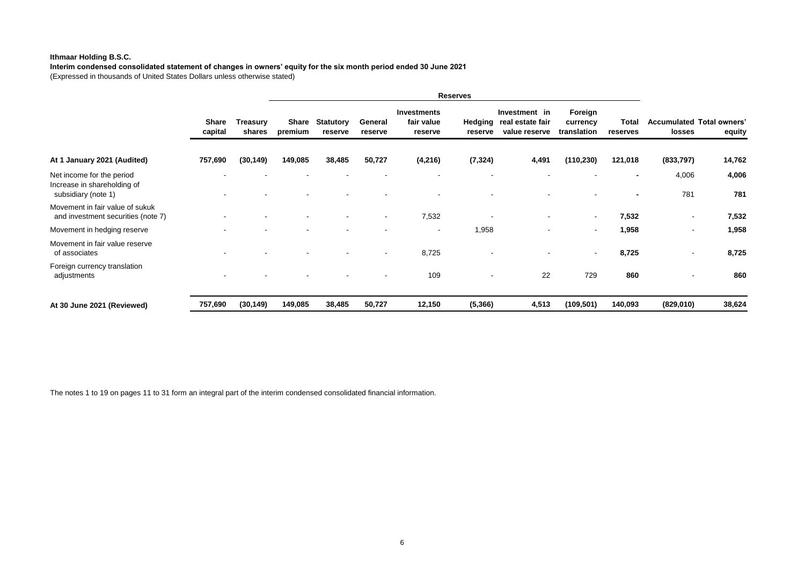### **Ithmaar Holding B.S.C.**

**Interim condensed consolidated statement of changes in owners' equity for the six month period ended 30 June 2021** (Expressed in thousands of United States Dollars unless otherwise stated)

|                                                                                 |                  |                    | <b>Reserves</b>  |                             |                    |                                             |                          |                                                    |                                    |                   |                          |                                            |
|---------------------------------------------------------------------------------|------------------|--------------------|------------------|-----------------------------|--------------------|---------------------------------------------|--------------------------|----------------------------------------------------|------------------------------------|-------------------|--------------------------|--------------------------------------------|
|                                                                                 | Share<br>capital | Treasury<br>shares | Share<br>premium | <b>Statutory</b><br>reserve | General<br>reserve | <b>Investments</b><br>fair value<br>reserve | Hedging<br>reserve       | Investment in<br>real estate fair<br>value reserve | Foreign<br>currency<br>translation | Total<br>reserves | <b>losses</b>            | <b>Accumulated Total owners'</b><br>equity |
| At 1 January 2021 (Audited)                                                     | 757,690          | (30, 149)          | 149,085          | 38,485                      | 50,727             | (4,216)                                     | (7, 324)                 | 4,491                                              | (110, 230)                         | 121,018           | (833,797)                | 14,762                                     |
| Net income for the period<br>Increase in shareholding of<br>subsidiary (note 1) |                  |                    |                  |                             |                    |                                             |                          |                                                    |                                    |                   | 4,006<br>781             | 4,006<br>781                               |
| Movement in fair value of sukuk<br>and investment securities (note 7)           |                  |                    |                  |                             |                    | 7,532                                       |                          |                                                    | $\overline{\phantom{a}}$           | 7,532             |                          | 7,532                                      |
| Movement in hedging reserve                                                     |                  |                    |                  |                             |                    | $\overline{\phantom{a}}$                    | 1,958                    | $\overline{\phantom{a}}$                           | $\overline{\phantom{a}}$           | 1,958             | ۰                        | 1,958                                      |
| Movement in fair value reserve<br>of associates                                 |                  |                    |                  |                             |                    | 8,725                                       |                          | $\blacksquare$                                     | $\overline{\phantom{a}}$           | 8,725             | $\overline{\phantom{a}}$ | 8,725                                      |
| Foreign currency translation<br>adjustments                                     |                  |                    |                  |                             |                    | 109                                         | $\overline{\phantom{a}}$ | 22                                                 | 729                                | 860               |                          | 860                                        |
| At 30 June 2021 (Reviewed)                                                      | 757,690          | (30, 149)          | 149,085          | 38,485                      | 50,727             | 12,150                                      | (5, 366)                 | 4,513                                              | (109, 501)                         | 140,093           | (829, 010)               | 38,624                                     |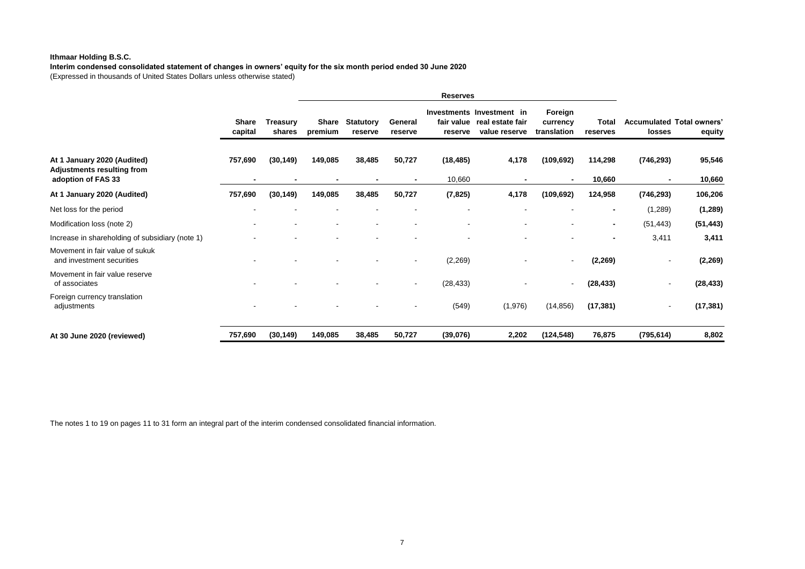### **Ithmaar Holding B.S.C.**

**Interim condensed consolidated statement of changes in owners' equity for the six month period ended 30 June 2020** (Expressed in thousands of United States Dollars unless otherwise stated)

|                                                                                 |                         |                    | <b>Reserves</b>         |                             |                          |                          |                                                                           |                                    |                   |                          |                                            |
|---------------------------------------------------------------------------------|-------------------------|--------------------|-------------------------|-----------------------------|--------------------------|--------------------------|---------------------------------------------------------------------------|------------------------------------|-------------------|--------------------------|--------------------------------------------|
|                                                                                 | <b>Share</b><br>capital | Treasurv<br>shares | <b>Share</b><br>premium | <b>Statutory</b><br>reserve | General<br>reserve       | reserve                  | Investments Investment in<br>fair value real estate fair<br>value reserve | Foreign<br>currency<br>translation | Total<br>reserves | losses                   | <b>Accumulated Total owners'</b><br>equity |
| At 1 January 2020 (Audited)<br>Adjustments resulting from<br>adoption of FAS 33 | 757,690                 | (30, 149)          | 149,085                 | 38,485<br>$\blacksquare$    | 50,727<br>$\blacksquare$ | (18, 485)<br>10,660      | 4,178                                                                     | (109, 692)                         | 114,298<br>10,660 | (746, 293)               | 95,546<br>10,660                           |
| At 1 January 2020 (Audited)                                                     | 757,690                 | (30, 149)          | 149,085                 | 38,485                      | 50,727                   | (7, 825)                 | 4,178                                                                     | (109, 692)                         | 124,958           | (746, 293)               | 106,206                                    |
| Net loss for the period                                                         |                         |                    |                         |                             |                          |                          |                                                                           |                                    | $\blacksquare$    | (1,289)                  | (1, 289)                                   |
| Modification loss (note 2)                                                      |                         |                    |                         | $\overline{\phantom{a}}$    |                          | $\overline{\phantom{a}}$ | $\overline{\phantom{a}}$                                                  | $\overline{\phantom{a}}$           | $\blacksquare$    | (51, 443)                | (51, 443)                                  |
| Increase in shareholding of subsidiary (note 1)                                 |                         |                    |                         |                             |                          |                          |                                                                           |                                    | $\blacksquare$    | 3,411                    | 3,411                                      |
| Movement in fair value of sukuk<br>and investment securities                    |                         |                    |                         |                             |                          | (2,269)                  |                                                                           |                                    | (2, 269)          | $\overline{\phantom{a}}$ | (2, 269)                                   |
| Movement in fair value reserve<br>of associates                                 |                         |                    |                         |                             | $\overline{\phantom{a}}$ | (28, 433)                |                                                                           |                                    | (28, 433)         | $\overline{\phantom{a}}$ | (28, 433)                                  |
| Foreign currency translation<br>adjustments                                     |                         |                    |                         |                             |                          | (549)                    | (1,976)                                                                   | (14, 856)                          | (17, 381)         | $\overline{\phantom{a}}$ | (17, 381)                                  |
| At 30 June 2020 (reviewed)                                                      | 757,690                 | (30, 149)          | 149,085                 | 38,485                      | 50,727                   | (39,076)                 | 2,202                                                                     | (124, 548)                         | 76,875            | (795, 614)               | 8,802                                      |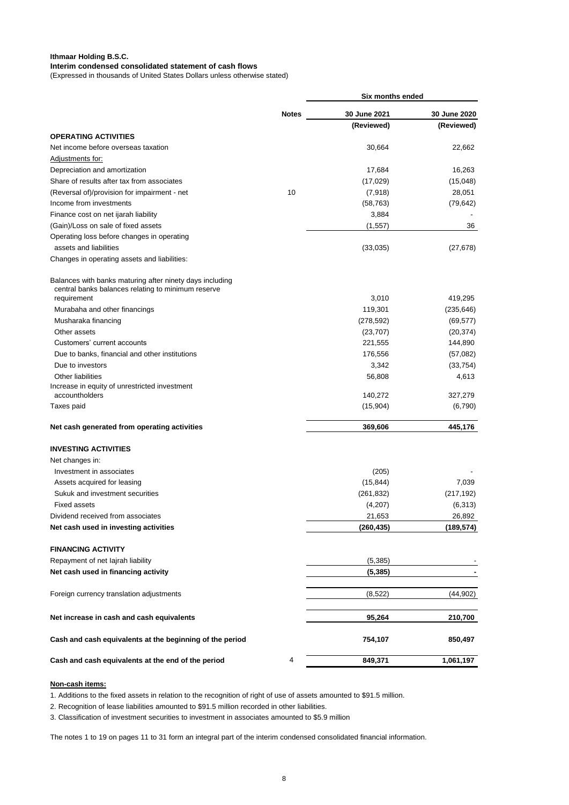#### **Ithmaar Holding B.S.C. Interim condensed consolidated statement of cash flows**

(Expressed in thousands of United States Dollars unless otherwise stated)

|                                                                    |              | Six months ended |              |
|--------------------------------------------------------------------|--------------|------------------|--------------|
|                                                                    | <b>Notes</b> | 30 June 2021     | 30 June 2020 |
| <b>OPERATING ACTIVITIES</b>                                        |              | (Reviewed)       | (Reviewed)   |
| Net income before overseas taxation                                |              | 30,664           | 22,662       |
| Adjustments for:                                                   |              |                  |              |
| Depreciation and amortization                                      |              | 17,684           | 16,263       |
| Share of results after tax from associates                         |              | (17, 029)        | (15,048)     |
| (Reversal of)/provision for impairment - net                       | 10           | (7,918)          | 28,051       |
| Income from investments                                            |              | (58, 763)        | (79, 642)    |
| Finance cost on net ijarah liability                               |              | 3,884            |              |
| (Gain)/Loss on sale of fixed assets                                |              | (1, 557)         | 36           |
| Operating loss before changes in operating                         |              |                  |              |
| assets and liabilities                                             |              | (33,035)         | (27, 678)    |
| Changes in operating assets and liabilities:                       |              |                  |              |
| Balances with banks maturing after ninety days including           |              |                  |              |
| central banks balances relating to minimum reserve<br>requirement  |              | 3,010            | 419,295      |
| Murabaha and other financings                                      |              | 119,301          | (235, 646)   |
| Musharaka financing                                                |              | (278, 592)       | (69, 577)    |
| Other assets                                                       |              | (23, 707)        | (20, 374)    |
| Customers' current accounts                                        |              | 221,555          | 144,890      |
|                                                                    |              | 176,556          |              |
| Due to banks, financial and other institutions<br>Due to investors |              | 3,342            | (57,082)     |
| Other liabilities                                                  |              |                  | (33, 754)    |
| Increase in equity of unrestricted investment                      |              | 56,808           | 4,613        |
| accountholders                                                     |              | 140,272          | 327,279      |
| Taxes paid                                                         |              | (15,904)         | (6,790)      |
| Net cash generated from operating activities                       |              | 369,606          | 445,176      |
| <b>INVESTING ACTIVITIES</b>                                        |              |                  |              |
| Net changes in:                                                    |              |                  |              |
| Investment in associates                                           |              | (205)            |              |
| Assets acquired for leasing                                        |              | (15, 844)        | 7,039        |
| Sukuk and investment securities                                    |              | (261, 832)       | (217, 192)   |
| <b>Fixed assets</b>                                                |              | (4,207)          | (6,313)      |
| Dividend received from associates                                  |              | 21,653           | 26,892       |
| Net cash used in investing activities                              |              | (260, 435)       | (189, 574)   |
| <b>FINANCING ACTIVITY</b>                                          |              |                  |              |
| Repayment of net lajrah liability                                  |              | (5, 385)         |              |
| Net cash used in financing activity                                |              | (5, 385)         |              |
| Foreign currency translation adjustments                           |              | (8,522)          | (44,902)     |
| Net increase in cash and cash equivalents                          |              | 95,264           | 210,700      |
| Cash and cash equivalents at the beginning of the period           |              | 754,107          | 850,497      |
| Cash and cash equivalents at the end of the period                 | 4            | 849,371          | 1,061,197    |
|                                                                    |              |                  |              |

#### **Non-cash items:**

1. Additions to the fixed assets in relation to the recognition of right of use of assets amounted to \$91.5 million.

2. Recognition of lease liabilities amounted to \$91.5 million recorded in other liabilities.

3. Classification of investment securities to investment in associates amounted to \$5.9 million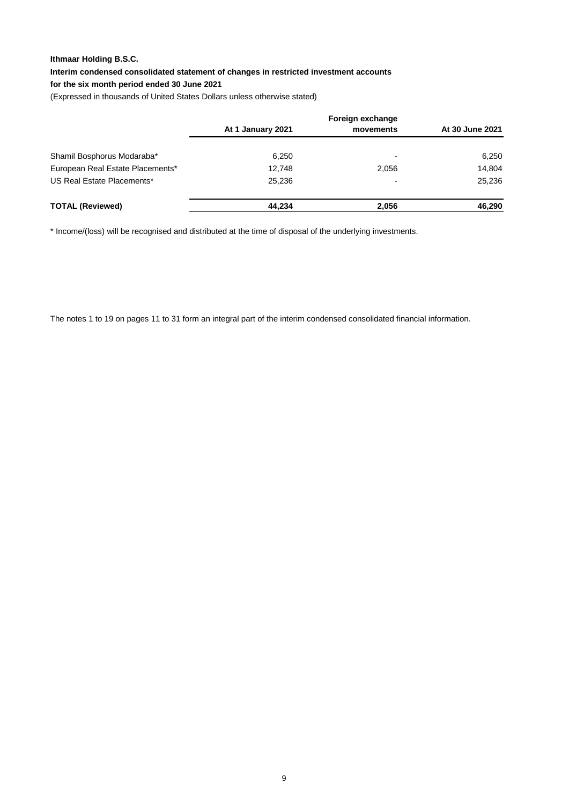### **Ithmaar Holding B.S.C.**

**Interim condensed consolidated statement of changes in restricted investment accounts** 

### **for the six month period ended 30 June 2021**

(Expressed in thousands of United States Dollars unless otherwise stated)

| At 1 January 2021 | movements                | At 30 June 2021  |  |  |  |  |
|-------------------|--------------------------|------------------|--|--|--|--|
| 6,250             | $\overline{\phantom{0}}$ | 6,250            |  |  |  |  |
| 12,748            | 2,056                    | 14.804           |  |  |  |  |
| 25.236            |                          | 25.236           |  |  |  |  |
| 44.234            | 2,056                    | 46,290           |  |  |  |  |
|                   |                          | Foreign exchange |  |  |  |  |

\* Income/(loss) will be recognised and distributed at the time of disposal of the underlying investments.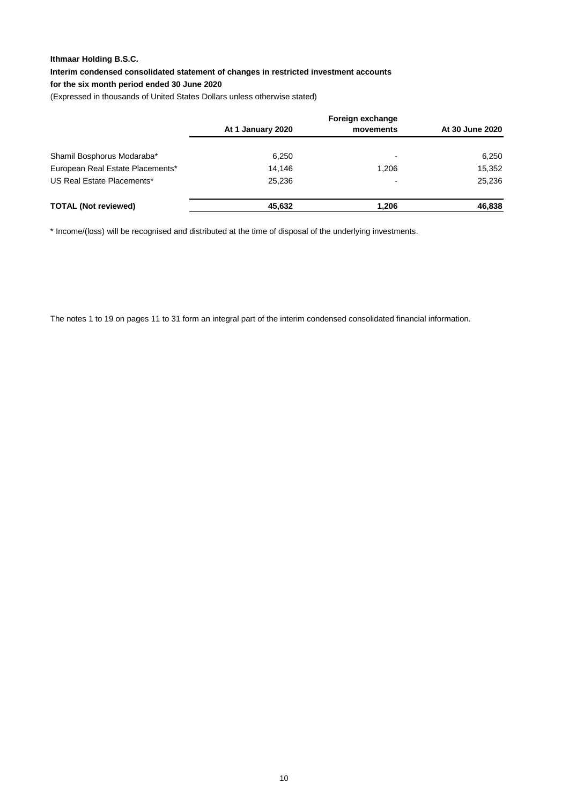### **Ithmaar Holding B.S.C.**

**Interim condensed consolidated statement of changes in restricted investment accounts** 

### **for the six month period ended 30 June 2020**

(Expressed in thousands of United States Dollars unless otherwise stated)

| At 1 January 2020 | movements                | At 30 June 2020  |  |  |  |
|-------------------|--------------------------|------------------|--|--|--|
| 6,250             | $\overline{\phantom{0}}$ | 6,250            |  |  |  |
| 14.146            | 1,206                    | 15,352           |  |  |  |
| 25.236            |                          | 25.236           |  |  |  |
| 45,632            | 1.206                    | 46,838           |  |  |  |
|                   |                          | Foreign exchange |  |  |  |

\* Income/(loss) will be recognised and distributed at the time of disposal of the underlying investments.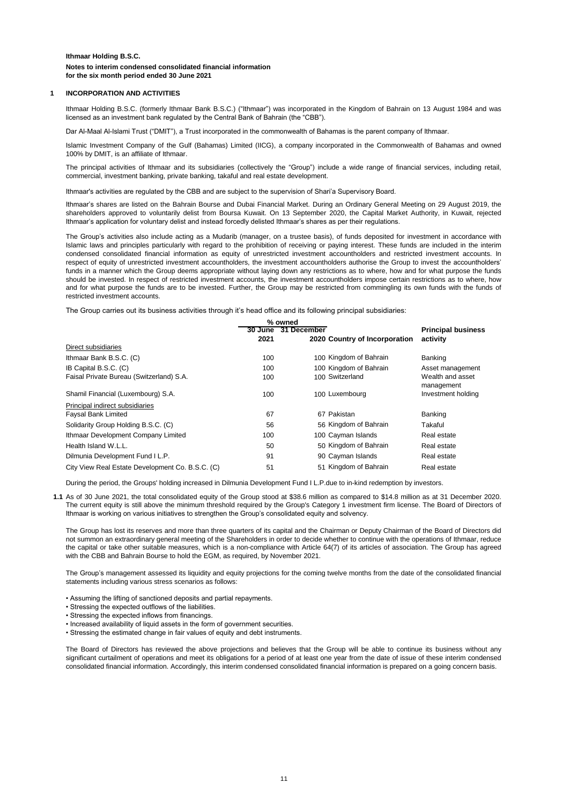#### **1 INCORPORATION AND ACTIVITIES**

Ithmaar Holding B.S.C. (formerly Ithmaar Bank B.S.C.) ("Ithmaar") was incorporated in the Kingdom of Bahrain on 13 August 1984 and was licensed as an investment bank regulated by the Central Bank of Bahrain (the "CBB").

Dar Al-Maal Al-Islami Trust ("DMIT"), a Trust incorporated in the commonwealth of Bahamas is the parent company of Ithmaar.

Islamic Investment Company of the Gulf (Bahamas) Limited (IICG), a company incorporated in the Commonwealth of Bahamas and owned 100% by DMIT, is an affiliate of Ithmaar.

The principal activities of Ithmaar and its subsidiaries (collectively the "Group") include a wide range of financial services, including retail, commercial, investment banking, private banking, takaful and real estate development.

Ithmaar's activities are regulated by the CBB and are subject to the supervision of Shari'a Supervisory Board.

Ithmaar's shares are listed on the Bahrain Bourse and Dubai Financial Market. During an Ordinary General Meeting on 29 August 2019, the shareholders approved to voluntarily delist from Boursa Kuwait. On 13 September 2020, the Capital Market Authority, in Kuwait, rejected Ithmaar's application for voluntary delist and instead forcedly delisted Ithmaar's shares as per their regulations.

The Group's activities also include acting as a Mudarib (manager, on a trustee basis), of funds deposited for investment in accordance with Islamic laws and principles particularly with regard to the prohibition of receiving or paying interest. These funds are included in the interim condensed consolidated financial information as equity of unrestricted investment accountholders and restricted investment accounts. In respect of equity of unrestricted investment accountholders, the investment accountholders authorise the Group to invest the accountholders' funds in a manner which the Group deems appropriate without laying down any restrictions as to where, how and for what purpose the funds should be invested. In respect of restricted investment accounts, the investment accountholders impose certain restrictions as to where, how and for what purpose the funds are to be invested. Further, the Group may be restricted from commingling its own funds with the funds of restricted investment accounts.

The Group carries out its business activities through it's head office and its following principal subsidiaries:

|                                                  |         | % owned     |                               |                           |
|--------------------------------------------------|---------|-------------|-------------------------------|---------------------------|
|                                                  | 30 June | 31 December |                               | <b>Principal business</b> |
|                                                  | 2021    |             | 2020 Country of Incorporation | activity                  |
| Direct subsidiaries                              |         |             |                               |                           |
| Ithmaar Bank B.S.C. (C)                          | 100     |             | 100 Kingdom of Bahrain        | Banking                   |
| IB Capital B.S.C. (C)                            | 100     |             | 100 Kingdom of Bahrain        | Asset management          |
| Faisal Private Bureau (Switzerland) S.A.         | 100     |             | 100 Switzerland               | Wealth and asset          |
|                                                  |         |             |                               | management                |
| Shamil Financial (Luxembourg) S.A.               | 100     |             | 100 Luxembourg                | Investment holding        |
| Principal indirect subsidiaries                  |         |             |                               |                           |
| <b>Faysal Bank Limited</b>                       | 67      |             | 67 Pakistan                   | Banking                   |
| Solidarity Group Holding B.S.C. (C)              | 56      |             | 56 Kingdom of Bahrain         | Takaful                   |
| Ithmaar Development Company Limited              | 100     |             | 100 Cayman Islands            | Real estate               |
| Health Island W.L.L.                             | 50      |             | 50 Kingdom of Bahrain         | Real estate               |
| Dilmunia Development Fund I L.P.                 | 91      |             | 90 Cayman Islands             | Real estate               |
| City View Real Estate Development Co. B.S.C. (C) | 51      |             | 51 Kingdom of Bahrain         | Real estate               |

During the period, the Groups' holding increased in Dilmunia Development Fund I L.P.due to in-kind redemption by investors.

**1.1** As of 30 June 2021, the total consolidated equity of the Group stood at \$38.6 million as compared to \$14.8 million as at 31 December 2020. The current equity is still above the minimum threshold required by the Group's Category 1 investment firm license. The Board of Directors of Ithmaar is working on various initiatives to strengthen the Group's consolidated equity and solvency.

The Group has lost its reserves and more than three quarters of its capital and the Chairman or Deputy Chairman of the Board of Directors did not summon an extraordinary general meeting of the Shareholders in order to decide whether to continue with the operations of Ithmaar, reduce the capital or take other suitable measures, which is a non-compliance with Article 64(7) of its articles of association. The Group has agreed with the CBB and Bahrain Bourse to hold the EGM, as required, by November 2021.

The Group's management assessed its liquidity and equity projections for the coming twelve months from the date of the consolidated financial statements including various stress scenarios as follows:

- Assuming the lifting of sanctioned deposits and partial repayments.
- Stressing the expected outflows of the liabilities.
- Stressing the expected inflows from financings.
- Increased availability of liquid assets in the form of government securities.
- Stressing the estimated change in fair values of equity and debt instruments.

The Board of Directors has reviewed the above projections and believes that the Group will be able to continue its business without any significant curtailment of operations and meet its obligations for a period of at least one year from the date of issue of these interim condensed consolidated financial information. Accordingly, this interim condensed consolidated financial information is prepared on a going concern basis.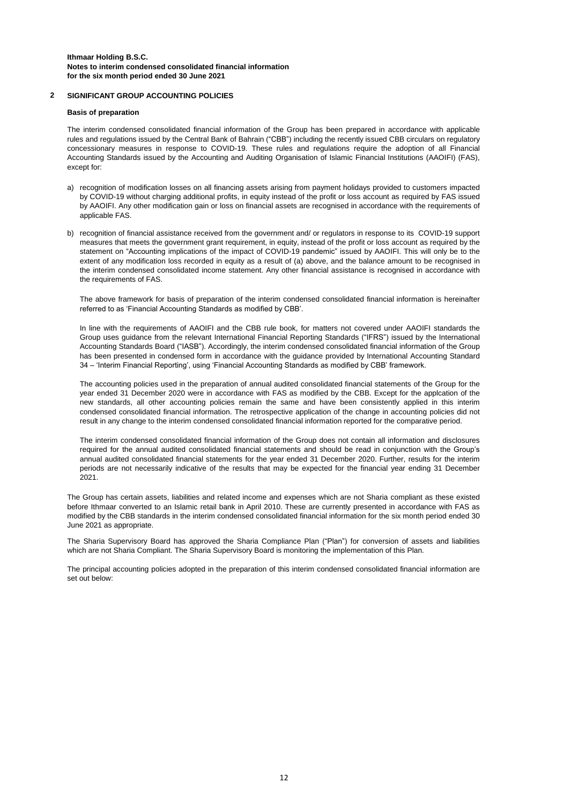#### **2 SIGNIFICANT GROUP ACCOUNTING POLICIES**

#### **Basis of preparation**

The interim condensed consolidated financial information of the Group has been prepared in accordance with applicable rules and regulations issued by the Central Bank of Bahrain ("CBB") including the recently issued CBB circulars on regulatory concessionary measures in response to COVID-19. These rules and regulations require the adoption of all Financial Accounting Standards issued by the Accounting and Auditing Organisation of Islamic Financial Institutions (AAOIFI) (FAS), except for:

- a) recognition of modification losses on all financing assets arising from payment holidays provided to customers impacted by COVID-19 without charging additional profits, in equity instead of the profit or loss account as required by FAS issued by AAOIFI. Any other modification gain or loss on financial assets are recognised in accordance with the requirements of applicable FAS.
- b) recognition of financial assistance received from the government and/ or regulators in response to its COVID-19 support measures that meets the government grant requirement, in equity, instead of the profit or loss account as required by the statement on "Accounting implications of the impact of COVID-19 pandemic" issued by AAOIFI. This will only be to the extent of any modification loss recorded in equity as a result of (a) above, and the balance amount to be recognised in the interim condensed consolidated income statement. Any other financial assistance is recognised in accordance with the requirements of FAS.

The above framework for basis of preparation of the interim condensed consolidated financial information is hereinafter referred to as 'Financial Accounting Standards as modified by CBB'.

In line with the requirements of AAOIFI and the CBB rule book, for matters not covered under AAOIFI standards the Group uses guidance from the relevant International Financial Reporting Standards ("IFRS") issued by the International Accounting Standards Board ("IASB"). Accordingly, the interim condensed consolidated financial information of the Group has been presented in condensed form in accordance with the guidance provided by International Accounting Standard 34 – 'Interim Financial Reporting', using 'Financial Accounting Standards as modified by CBB' framework.

The accounting policies used in the preparation of annual audited consolidated financial statements of the Group for the year ended 31 December 2020 were in accordance with FAS as modified by the CBB. Except for the applcation of the new standards, all other accounting policies remain the same and have been consistently applied in this interim condensed consolidated financial information. The retrospective application of the change in accounting policies did not result in any change to the interim condensed consolidated financial information reported for the comparative period.

The interim condensed consolidated financial information of the Group does not contain all information and disclosures required for the annual audited consolidated financial statements and should be read in conjunction with the Group's annual audited consolidated financial statements for the year ended 31 December 2020. Further, results for the interim periods are not necessarily indicative of the results that may be expected for the financial year ending 31 December 2021.

The Group has certain assets, liabilities and related income and expenses which are not Sharia compliant as these existed before Ithmaar converted to an Islamic retail bank in April 2010. These are currently presented in accordance with FAS as modified by the CBB standards in the interim condensed consolidated financial information for the six month period ended 30 June 2021 as appropriate.

The Sharia Supervisory Board has approved the Sharia Compliance Plan ("Plan") for conversion of assets and liabilities which are not Sharia Compliant. The Sharia Supervisory Board is monitoring the implementation of this Plan.

The principal accounting policies adopted in the preparation of this interim condensed consolidated financial information are set out below: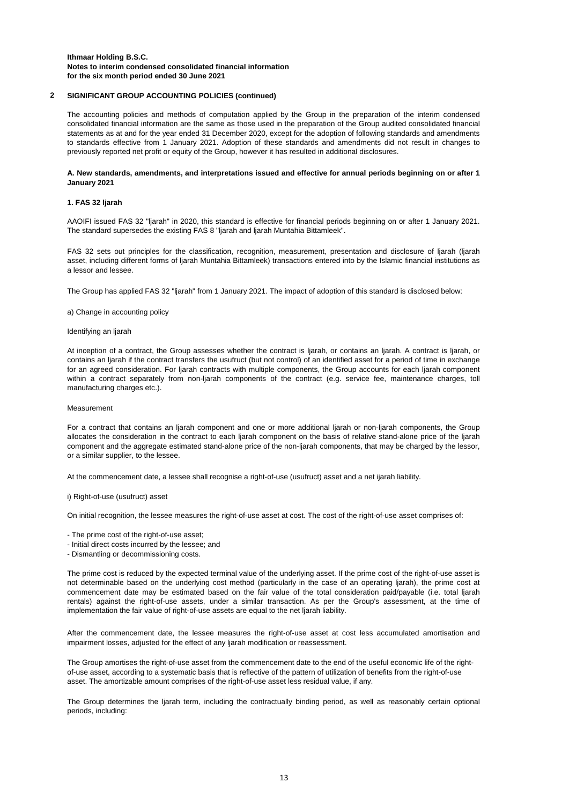#### **2 SIGNIFICANT GROUP ACCOUNTING POLICIES (continued)**

The accounting policies and methods of computation applied by the Group in the preparation of the interim condensed consolidated financial information are the same as those used in the preparation of the Group audited consolidated financial statements as at and for the year ended 31 December 2020, except for the adoption of following standards and amendments to standards effective from 1 January 2021. Adoption of these standards and amendments did not result in changes to previously reported net profit or equity of the Group, however it has resulted in additional disclosures.

#### A. New standards, amendments, and interpretations issued and effective for annual periods beginning on or after 1 **January 2021**

#### **1. FAS 32 ljarah**

AAOIFI issued FAS 32 "ljarah" in 2020, this standard is effective for financial periods beginning on or after 1 January 2021. The standard supersedes the existing FAS 8 "ljarah and ljarah Muntahia Bittamleek".

FAS 32 sets out principles for the classification, recognition, measurement, presentation and disclosure of ljarah (ljarah asset, including different forms of ljarah Muntahia Bittamleek) transactions entered into by the Islamic financial institutions as a lessor and lessee.

The Group has applied FAS 32 "ljarah" from 1 January 2021. The impact of adoption of this standard is disclosed below:

#### a) Change in accounting policy

#### Identifying an ljarah

At inception of a contract, the Group assesses whether the contract is ljarah, or contains an ljarah. A contract is ljarah, or contains an ljarah if the contract transfers the usufruct (but not control) of an identified asset for a period of time in exchange for an agreed consideration. For ljarah contracts with multiple components, the Group accounts for each ljarah component within a contract separately from non-ljarah components of the contract (e.g. service fee, maintenance charges, toll manufacturing charges etc.).

#### Measurement

For a contract that contains an ljarah component and one or more additional ljarah or non-ljarah components, the Group allocates the consideration in the contract to each ljarah component on the basis of relative stand-alone price of the ljarah component and the aggregate estimated stand-alone price of the non-ljarah components, that may be charged by the lessor, or a similar supplier, to the lessee.

At the commencement date, a lessee shall recognise a right-of-use (usufruct) asset and a net ijarah liability.

#### i) Right-of-use (usufruct) asset

On initial recognition, the lessee measures the right-of-use asset at cost. The cost of the right-of-use asset comprises of:

- The prime cost of the right-of-use asset;
- Initial direct costs incurred by the lessee; and
- Dismantling or decommissioning costs.

The prime cost is reduced by the expected terminal value of the underlying asset. If the prime cost of the right-of-use asset is not determinable based on the underlying cost method (particularly in the case of an operating ljarah), the prime cost at commencement date may be estimated based on the fair value of the total consideration paid/payable (i.e. total ljarah rentals) against the right-of-use assets, under a similar transaction. As per the Group's assessment, at the time of implementation the fair value of right-of-use assets are equal to the net ljarah liability.

After the commencement date, the lessee measures the right-of-use asset at cost less accumulated amortisation and impairment losses, adjusted for the effect of any ljarah modification or reassessment.

The Group amortises the right-of-use asset from the commencement date to the end of the useful economic life of the rightof-use asset, according to a systematic basis that is reflective of the pattern of utilization of benefits from the right-of-use asset. The amortizable amount comprises of the right-of-use asset less residual value, if any.

The Group determines the ljarah term, including the contractually binding period, as well as reasonably certain optional periods, including: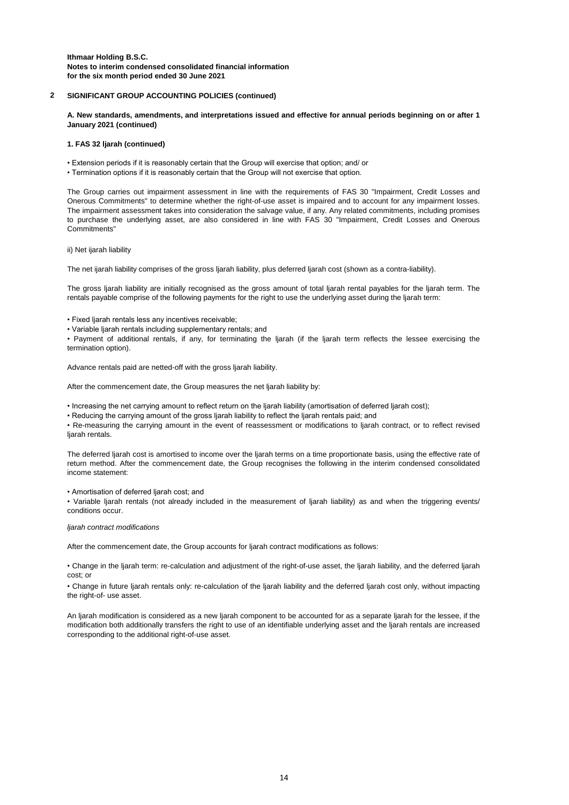#### **2 SIGNIFICANT GROUP ACCOUNTING POLICIES (continued)**

A. New standards, amendments, and interpretations issued and effective for annual periods beginning on or after 1 **January 2021 (continued)**

#### **1. FAS 32 ljarah (continued)**

- Extension periods if it is reasonably certain that the Group will exercise that option; and/ or
- Termination options if it is reasonably certain that the Group will not exercise that option.

The Group carries out impairment assessment in line with the requirements of FAS 30 "Impairment, Credit Losses and Onerous Commitments" to determine whether the right-of-use asset is impaired and to account for any impairment losses. The impairment assessment takes into consideration the salvage value, if any. Any related commitments, including promises to purchase the underlying asset, are also considered in line with FAS 30 "Impairment, Credit Losses and Onerous Commitments"

ii) Net ijarah liability

The net ijarah liability comprises of the gross liarah liability, plus deferred liarah cost (shown as a contra-liability).

The gross ljarah liability are initially recognised as the gross amount of total ljarah rental payables for the ljarah term. The rentals payable comprise of the following payments for the right to use the underlying asset during the ljarah term:

- Fixed ljarah rentals less any incentives receivable;
- Variable ljarah rentals including supplementary rentals; and

• Payment of additional rentals, if any, for terminating the ljarah (if the ljarah term reflects the lessee exercising the termination option).

Advance rentals paid are netted-off with the gross ljarah liability.

After the commencement date, the Group measures the net ljarah liability by:

• Increasing the net carrying amount to reflect return on the ljarah liability (amortisation of deferred ljarah cost);

• Reducing the carrying amount of the gross ljarah liability to reflect the ljarah rentals paid; and

• Re-measuring the carrying amount in the event of reassessment or modifications to ljarah contract, or to reflect revised ljarah rentals.

The deferred ljarah cost is amortised to income over the ljarah terms on a time proportionate basis, using the effective rate of return method. After the commencement date, the Group recognises the following in the interim condensed consolidated income statement:

• Amortisation of deferred liarah cost; and

• Variable ljarah rentals (not already included in the measurement of ljarah liability) as and when the triggering events/ conditions occur.

*ljarah contract modifications*

After the commencement date, the Group accounts for ljarah contract modifications as follows:

• Change in the ljarah term: re-calculation and adjustment of the right-of-use asset, the ljarah liability, and the deferred ljarah cost; or

• Change in future ljarah rentals only: re-calculation of the ljarah liability and the deferred ljarah cost only, without impacting the right-of- use asset.

An ljarah modification is considered as a new ljarah component to be accounted for as a separate ljarah for the lessee, if the modification both additionally transfers the right to use of an identifiable underlying asset and the ljarah rentals are increased corresponding to the additional right-of-use asset.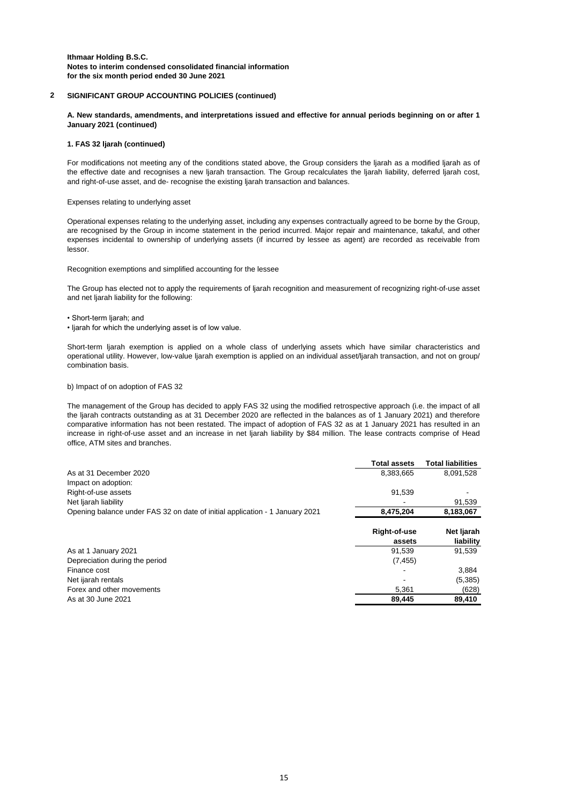#### **2 SIGNIFICANT GROUP ACCOUNTING POLICIES (continued)**

A. New standards, amendments, and interpretations issued and effective for annual periods beginning on or after 1 **January 2021 (continued)**

#### **1. FAS 32 ljarah (continued)**

For modifications not meeting any of the conditions stated above, the Group considers the ljarah as a modified ljarah as of the effective date and recognises a new ljarah transaction. The Group recalculates the ljarah liability, deferred ljarah cost, and right-of-use asset, and de- recognise the existing ljarah transaction and balances.

#### Expenses relating to underlying asset

Operational expenses relating to the underlying asset, including any expenses contractually agreed to be borne by the Group, are recognised by the Group in income statement in the period incurred. Major repair and maintenance, takaful, and other expenses incidental to ownership of underlying assets (if incurred by lessee as agent) are recorded as receivable from lessor.

Recognition exemptions and simplified accounting for the lessee

The Group has elected not to apply the requirements of ljarah recognition and measurement of recognizing right-of-use asset and net ljarah liability for the following:

- Short-term ljarah; and
- ljarah for which the underlying asset is of low value.

Short-term ljarah exemption is applied on a whole class of underlying assets which have similar characteristics and operational utility. However, low-value ljarah exemption is applied on an individual asset/ljarah transaction, and not on group/ combination basis.

#### b) Impact of on adoption of FAS 32

The management of the Group has decided to apply FAS 32 using the modified retrospective approach (i.e. the impact of all the ljarah contracts outstanding as at 31 December 2020 are reflected in the balances as of 1 January 2021) and therefore comparative information has not been restated. The impact of adoption of FAS 32 as at 1 January 2021 has resulted in an increase in right-of-use asset and an increase in net ljarah liability by \$84 million. The lease contracts comprise of Head office, ATM sites and branches.

|                                                                              | <b>Total assets</b> | <b>Total liabilities</b> |
|------------------------------------------------------------------------------|---------------------|--------------------------|
| As at 31 December 2020                                                       | 8,383,665           | 8,091,528                |
| Impact on adoption:                                                          |                     |                          |
| Right-of-use assets                                                          | 91,539              |                          |
| Net liarah liability                                                         |                     | 91,539                   |
| Opening balance under FAS 32 on date of initial application - 1 January 2021 | 8,475,204           | 8,183,067                |
|                                                                              |                     |                          |
|                                                                              | Right-of-use        | Net Ijarah               |
|                                                                              | assets              | liability                |
| As at 1 January 2021                                                         | 91,539              | 91,539                   |
| Depreciation during the period                                               | (7, 455)            |                          |
| Finance cost                                                                 |                     | 3,884                    |
| Net ijarah rentals                                                           |                     | (5,385)                  |
| Forex and other movements                                                    | 5,361               | (628)                    |
| As at 30 June 2021                                                           | 89,445              | 89,410                   |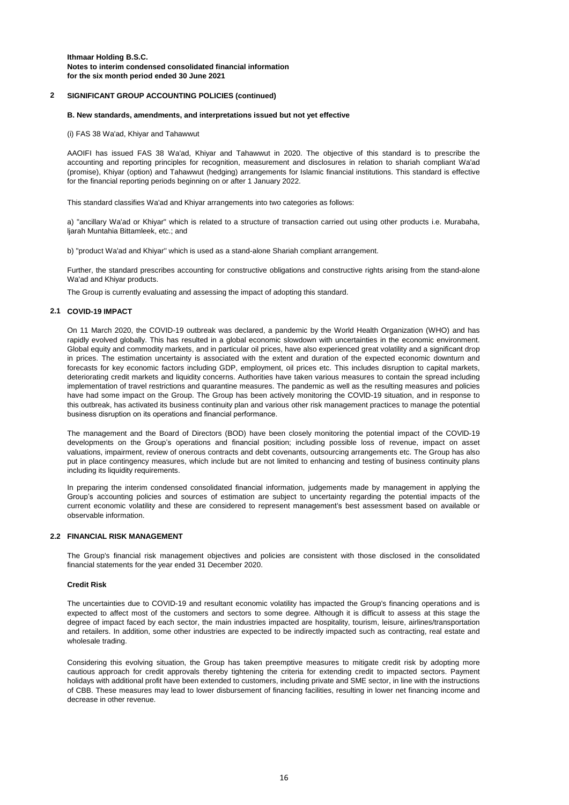#### **2 SIGNIFICANT GROUP ACCOUNTING POLICIES (continued)**

#### **B. New standards, amendments, and interpretations issued but not yet effective**

(i) FAS 38 Wa'ad, Khiyar and Tahawwut

AAOIFI has issued FAS 38 Wa'ad, Khiyar and Tahawwut in 2020. The objective of this standard is to prescribe the accounting and reporting principles for recognition, measurement and disclosures in relation to shariah compliant Wa'ad (promise), Khiyar (option) and Tahawwut (hedging) arrangements for Islamic financial institutions. This standard is effective for the financial reporting periods beginning on or after 1 January 2022.

This standard classifies Wa'ad and Khiyar arrangements into two categories as follows:

a) "ancillary Wa'ad or Khiyar" which is related to a structure of transaction carried out using other products i.e. Murabaha, ljarah Muntahia Bittamleek, etc.; and

b) "product Wa'ad and Khiyar'' which is used as a stand-alone Shariah compliant arrangement.

Further, the standard prescribes accounting for constructive obligations and constructive rights arising from the stand-alone Wa'ad and Khiyar products.

The Group is currently evaluating and assessing the impact of adopting this standard.

#### **2.1 COVID-19 IMPACT**

On 11 March 2020, the COVID-19 outbreak was declared, a pandemic by the World Health Organization (WHO) and has rapidly evolved globally. This has resulted in a global economic slowdown with uncertainties in the economic environment. Global equity and commodity markets, and in particular oil prices, have also experienced great volatility and a significant drop in prices. The estimation uncertainty is associated with the extent and duration of the expected economic downturn and forecasts for key economic factors including GDP, employment, oil prices etc. This includes disruption to capital markets, deteriorating credit markets and liquidity concerns. Authorities have taken various measures to contain the spread including implementation of travel restrictions and quarantine measures. The pandemic as well as the resulting measures and policies have had some impact on the Group. The Group has been actively monitoring the COVlD-19 situation, and in response to this outbreak, has activated its business continuity plan and various other risk management practices to manage the potential business disruption on its operations and financial performance.

The management and the Board of Directors (BOD) have been closely monitoring the potential impact of the COVlD-19 developments on the Group's operations and financial position; including possible loss of revenue, impact on asset valuations, impairment, review of onerous contracts and debt covenants, outsourcing arrangements etc. The Group has also put in place contingency measures, which include but are not limited to enhancing and testing of business continuity plans including its liquidity requirements.

In preparing the interim condensed consolidated financial information, judgements made by management in applying the Group's accounting policies and sources of estimation are subject to uncertainty regarding the potential impacts of the current economic volatility and these are considered to represent management's best assessment based on available or observable information.

#### **2.2 FINANCIAL RISK MANAGEMENT**

The Group's financial risk management objectives and policies are consistent with those disclosed in the consolidated financial statements for the year ended 31 December 2020.

#### **Credit Risk**

The uncertainties due to COVID-19 and resultant economic volatility has impacted the Group's financing operations and is expected to affect most of the customers and sectors to some degree. Although it is difficult to assess at this stage the degree of impact faced by each sector, the main industries impacted are hospitality, tourism, leisure, airlines/transportation and retailers. In addition, some other industries are expected to be indirectly impacted such as contracting, real estate and wholesale trading.

Considering this evolving situation, the Group has taken preemptive measures to mitigate credit risk by adopting more cautious approach for credit approvals thereby tightening the criteria for extending credit to impacted sectors. Payment holidays with additional profit have been extended to customers, including private and SME sector, in line with the instructions of CBB. These measures may lead to lower disbursement of financing facilities, resulting in lower net financing income and decrease in other revenue.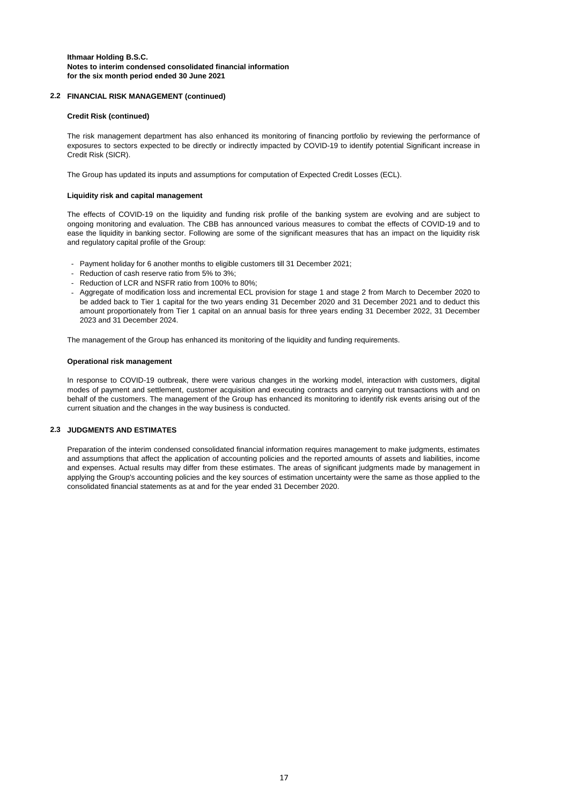#### **2.2 FINANCIAL RISK MANAGEMENT (continued)**

#### **Credit Risk (continued)**

The risk management department has also enhanced its monitoring of financing portfolio by reviewing the performance of exposures to sectors expected to be directly or indirectly impacted by COVID-19 to identify potential Significant increase in Credit Risk (SICR).

The Group has updated its inputs and assumptions for computation of Expected Credit Losses (ECL).

#### **Liquidity risk and capital management**

The effects of COVID-19 on the liquidity and funding risk profile of the banking system are evolving and are subject to ongoing monitoring and evaluation. The CBB has announced various measures to combat the effects of COVID-19 and to ease the liquidity in banking sector. Following are some of the significant measures that has an impact on the liquidity risk and regulatory capital profile of the Group:

- Payment holiday for 6 another months to eligible customers till 31 December 2021;
- Reduction of cash reserve ratio from 5% to 3%;
- Reduction of LCR and NSFR ratio from 100% to 80%;
- Aggregate of modification loss and incremental ECL provision for stage 1 and stage 2 from March to December 2020 to be added back to Tier 1 capital for the two years ending 31 December 2020 and 31 December 2021 and to deduct this amount proportionately from Tier 1 capital on an annual basis for three years ending 31 December 2022, 31 December 2023 and 31 December 2024.

The management of the Group has enhanced its monitoring of the liquidity and funding requirements.

#### **Operational risk management**

In response to COVID-19 outbreak, there were various changes in the working model, interaction with customers, digital modes of payment and settlement, customer acquisition and executing contracts and carrying out transactions with and on behalf of the customers. The management of the Group has enhanced its monitoring to identify risk events arising out of the current situation and the changes in the way business is conducted.

#### **2.3 JUDGMENTS AND ESTIMATES**

Preparation of the interim condensed consolidated financial information requires management to make judgments, estimates and assumptions that affect the application of accounting policies and the reported amounts of assets and liabilities, income and expenses. Actual results may differ from these estimates. The areas of significant judgments made by management in applying the Group's accounting policies and the key sources of estimation uncertainty were the same as those applied to the consolidated financial statements as at and for the year ended 31 December 2020.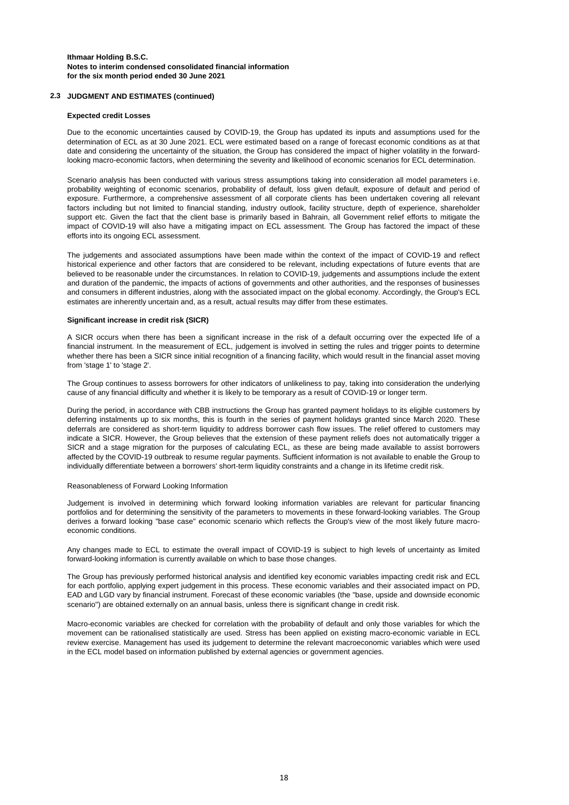#### **2.3 JUDGMENT AND ESTIMATES (continued)**

#### **Expected credit Losses**

Due to the economic uncertainties caused by COVID-19, the Group has updated its inputs and assumptions used for the determination of ECL as at 30 June 2021. ECL were estimated based on a range of forecast economic conditions as at that date and considering the uncertainty of the situation, the Group has considered the impact of higher volatility in the forwardlooking macro-economic factors, when determining the severity and likelihood of economic scenarios for ECL determination.

Scenario analysis has been conducted with various stress assumptions taking into consideration all model parameters i.e. probability weighting of economic scenarios, probability of default, loss given default, exposure of default and period of exposure. Furthermore, a comprehensive assessment of all corporate clients has been undertaken covering all relevant factors including but not limited to financial standing, industry outlook, facility structure, depth of experience, shareholder support etc. Given the fact that the client base is primarily based in Bahrain, all Government relief efforts to mitigate the impact of COVID-19 will also have a mitigating impact on ECL assessment. The Group has factored the impact of these efforts into its ongoing ECL assessment.

The judgements and associated assumptions have been made within the context of the impact of COVID-19 and reflect historical experience and other factors that are considered to be relevant, including expectations of future events that are believed to be reasonable under the circumstances. In relation to COVID-19, judgements and assumptions include the extent and duration of the pandemic, the impacts of actions of governments and other authorities, and the responses of businesses and consumers in different industries, along with the associated impact on the global economy. Accordingly, the Group's ECL estimates are inherently uncertain and, as a result, actual results may differ from these estimates.

#### **Significant increase in credit risk (SICR)**

A SICR occurs when there has been a significant increase in the risk of a default occurring over the expected life of a financial instrument. In the measurement of ECL, judgement is involved in setting the rules and trigger points to determine whether there has been a SICR since initial recognition of a financing facility, which would result in the financial asset moving from 'stage 1' to 'stage 2'.

The Group continues to assess borrowers for other indicators of unlikeliness to pay, taking into consideration the underlying cause of any financial difficulty and whether it is likely to be temporary as a result of COVID-19 or longer term.

During the period, in accordance with CBB instructions the Group has granted payment holidays to its eligible customers by deferring instalments up to six months, this is fourth in the series of payment holidays granted since March 2020. These deferrals are considered as short-term liquidity to address borrower cash flow issues. The relief offered to customers may indicate a SICR. However, the Group believes that the extension of these payment reliefs does not automatically trigger a SICR and a stage migration for the purposes of calculating ECL, as these are being made available to assist borrowers affected by the COVID-19 outbreak to resume regular payments. Sufficient information is not available to enable the Group to individually differentiate between a borrowers' short-term liquidity constraints and a change in its lifetime credit risk.

#### Reasonableness of Forward Looking Information

Judgement is involved in determining which forward looking information variables are relevant for particular financing portfolios and for determining the sensitivity of the parameters to movements in these forward-looking variables. The Group derives a forward looking "base case" economic scenario which reflects the Group's view of the most likely future macroeconomic conditions.

Any changes made to ECL to estimate the overall impact of COVID-19 is subject to high levels of uncertainty as limited forward-looking information is currently available on which to base those changes.

The Group has previously performed historical analysis and identified key economic variables impacting credit risk and ECL for each portfolio, applying expert judgement in this process. These economic variables and their associated impact on PD, EAD and LGD vary by financial instrument. Forecast of these economic variables (the "base, upside and downside economic scenario") are obtained externally on an annual basis, unless there is significant change in credit risk.

Macro-economic variables are checked for correlation with the probability of default and only those variables for which the movement can be rationalised statistically are used. Stress has been applied on existing macro-economic variable in ECL review exercise. Management has used its judgement to determine the relevant macroeconomic variables which were used in the ECL model based on information published by external agencies or government agencies.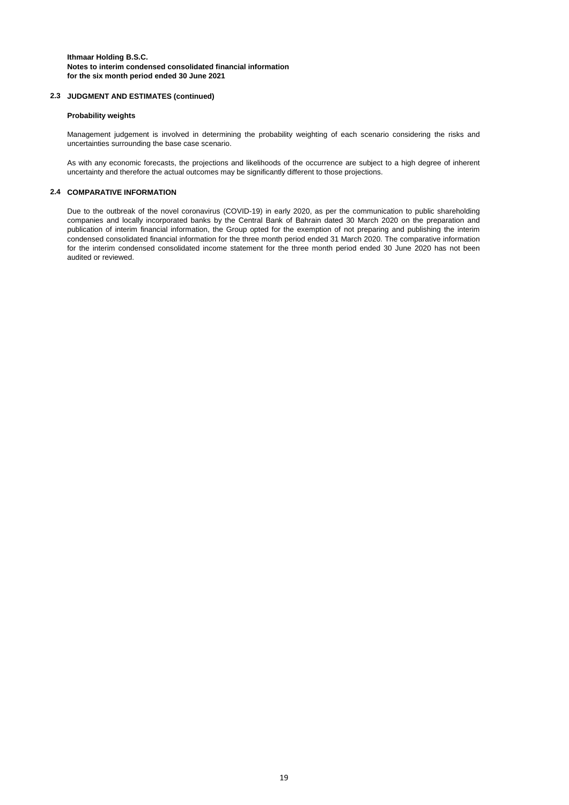#### **2.3 JUDGMENT AND ESTIMATES (continued)**

#### **Probability weights**

Management judgement is involved in determining the probability weighting of each scenario considering the risks and uncertainties surrounding the base case scenario.

As with any economic forecasts, the projections and likelihoods of the occurrence are subject to a high degree of inherent uncertainty and therefore the actual outcomes may be significantly different to those projections.

#### **2.4 COMPARATIVE INFORMATION**

Due to the outbreak of the novel coronavirus (COVID-19) in early 2020, as per the communication to public shareholding companies and locally incorporated banks by the Central Bank of Bahrain dated 30 March 2020 on the preparation and publication of interim financial information, the Group opted for the exemption of not preparing and publishing the interim condensed consolidated financial information for the three month period ended 31 March 2020. The comparative information for the interim condensed consolidated income statement for the three month period ended 30 June 2020 has not been audited or reviewed.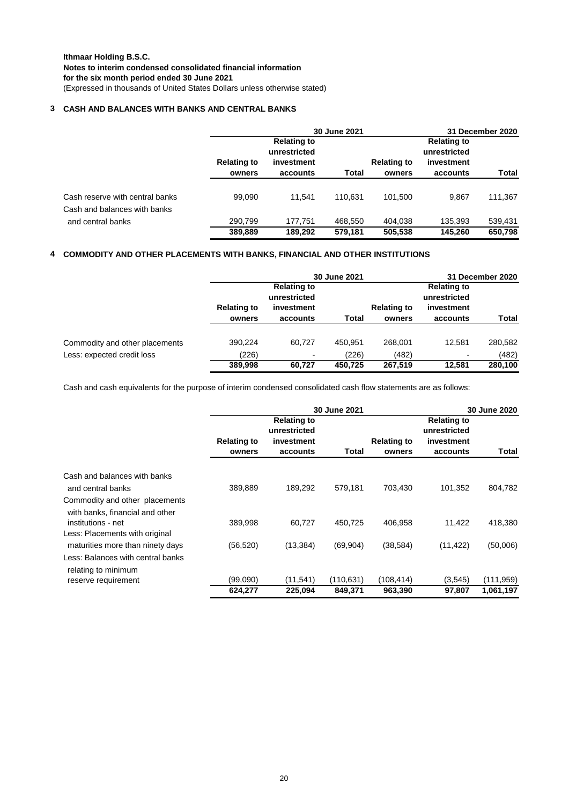### **3 CASH AND BALANCES WITH BANKS AND CENTRAL BANKS**

|                                                                 |                    | 30 June 2021                                     |                    |                    |                                                  |                    |
|-----------------------------------------------------------------|--------------------|--------------------------------------------------|--------------------|--------------------|--------------------------------------------------|--------------------|
|                                                                 | <b>Relating to</b> | <b>Relating to</b><br>unrestricted<br>investment |                    | <b>Relating to</b> | <b>Relating to</b><br>unrestricted<br>investment |                    |
|                                                                 | owners             | accounts                                         | Total              | owners             | accounts                                         | Total              |
| Cash reserve with central banks<br>Cash and balances with banks | 99.090             | 11.541                                           | 110.631            | 101.500            | 9.867                                            | 111,367            |
| and central banks                                               | 290.799<br>389,889 | 177.751<br>189.292                               | 468.550<br>579.181 | 404.038<br>505,538 | 135.393<br>145.260                               | 539,431<br>650,798 |

### **4 COMMODITY AND OTHER PLACEMENTS WITH BANKS, FINANCIAL AND OTHER INSTITUTIONS**

|                                |                              | 31 December 2020                   |         |                              |                                    |         |
|--------------------------------|------------------------------|------------------------------------|---------|------------------------------|------------------------------------|---------|
|                                |                              | <b>Relating to</b><br>unrestricted |         |                              | <b>Relating to</b><br>unrestricted |         |
|                                | <b>Relating to</b><br>owners | investment<br>accounts             | Total   | <b>Relating to</b><br>owners | investment<br>accounts             | Total   |
|                                |                              |                                    |         |                              |                                    |         |
| Commodity and other placements | 390,224                      | 60.727                             | 450.951 | 268.001                      | 12.581                             | 280,582 |
| Less: expected credit loss     | (226)                        | $\overline{\phantom{0}}$           | (226)   | (482)                        | $\blacksquare$                     | (482)   |
|                                | 389,998                      | 60.727                             | 450.725 | 267.519                      | 12.581                             | 280,100 |

Cash and cash equivalents for the purpose of interim condensed consolidated cash flow statements are as follows:

|                                                                   |                              | 30 June 2021                                                 |            |                              | 30 June 2020                                                 |            |  |
|-------------------------------------------------------------------|------------------------------|--------------------------------------------------------------|------------|------------------------------|--------------------------------------------------------------|------------|--|
|                                                                   | <b>Relating to</b><br>owners | <b>Relating to</b><br>unrestricted<br>investment<br>accounts | Total      | <b>Relating to</b><br>owners | <b>Relating to</b><br>unrestricted<br>investment<br>accounts | Total      |  |
| Cash and balances with banks                                      |                              |                                                              |            |                              |                                                              |            |  |
| and central banks                                                 | 389,889                      | 189,292                                                      | 579,181    | 703,430                      | 101,352                                                      | 804,782    |  |
| Commodity and other placements<br>with banks, financial and other |                              |                                                              |            |                              |                                                              |            |  |
| institutions - net                                                | 389,998                      | 60.727                                                       | 450.725    | 406.958                      | 11.422                                                       | 418,380    |  |
| Less: Placements with original                                    |                              |                                                              |            |                              |                                                              |            |  |
| maturities more than ninety days                                  | (56, 520)                    | (13, 384)                                                    | (69, 904)  | (38,584)                     | (11, 422)                                                    | (50,006)   |  |
| Less: Balances with central banks<br>relating to minimum          |                              |                                                              |            |                              |                                                              |            |  |
| reserve requirement                                               | (99,090)                     | (11, 541)                                                    | (110, 631) | (108, 414)                   | (3,545)                                                      | (111, 959) |  |
|                                                                   | 624,277                      | 225,094                                                      | 849,371    | 963,390                      | 97.807                                                       | 1,061,197  |  |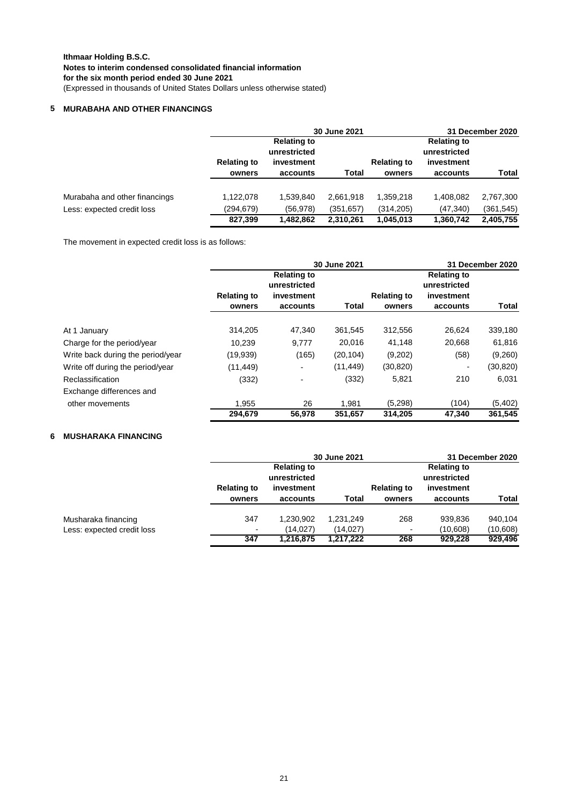### **5 MURABAHA AND OTHER FINANCINGS**

|                               |                    | 30 June 2021                       |            |                    | 31 December 2020                   |            |  |
|-------------------------------|--------------------|------------------------------------|------------|--------------------|------------------------------------|------------|--|
|                               |                    | <b>Relating to</b><br>unrestricted |            |                    | <b>Relating to</b><br>unrestricted |            |  |
|                               | <b>Relating to</b> | investment                         |            | <b>Relating to</b> | investment                         |            |  |
|                               | owners             | accounts                           | Total      | owners             | accounts                           | Total      |  |
| Murabaha and other financings | 1,122,078          | 1,539,840                          | 2,661,918  | 1,359,218          | 1,408,082                          | 2,767,300  |  |
| Less: expected credit loss    | (294, 679)         | (56, 978)                          | (351, 657) | (314, 205)         | (47, 340)                          | (361, 545) |  |
|                               | 827,399            | 1,482,862                          | 2,310,261  | 1,045,013          | 1,360,742                          | 2,405,755  |  |

The movement in expected credit loss is as follows:

|                                   |                    | 30 June 2021                                     |           |                    | 31 December 2020                                 |           |  |
|-----------------------------------|--------------------|--------------------------------------------------|-----------|--------------------|--------------------------------------------------|-----------|--|
|                                   | <b>Relating to</b> | <b>Relating to</b><br>unrestricted<br>investment |           | <b>Relating to</b> | <b>Relating to</b><br>unrestricted<br>investment |           |  |
|                                   | owners             | accounts                                         | Total     | owners             | accounts                                         | Total     |  |
| At 1 January                      | 314,205            | 47,340                                           | 361,545   | 312,556            | 26,624                                           | 339,180   |  |
| Charge for the period/year        | 10.239             | 9,777                                            | 20,016    | 41,148             | 20,668                                           | 61,816    |  |
| Write back during the period/year | (19,939)           | (165)                                            | (20, 104) | (9,202)            | (58)                                             | (9,260)   |  |
| Write off during the period/year  | (11, 449)          |                                                  | (11, 449) | (30, 820)          | $\overline{\phantom{0}}$                         | (30, 820) |  |
| Reclassification                  | (332)              |                                                  | (332)     | 5,821              | 210                                              | 6,031     |  |
| Exchange differences and          |                    |                                                  |           |                    |                                                  |           |  |
| other movements                   | 1,955              | 26                                               | 1.981     | (5,298)            | (104)                                            | (5,402)   |  |
|                                   | 294,679            | 56.978                                           | 351,657   | 314.205            | 47.340                                           | 361,545   |  |

### **6 MUSHARAKA FINANCING**

|                            |                    | 30 June 2021                       |           |                    |                                    | 31 December 2020 |  |  |
|----------------------------|--------------------|------------------------------------|-----------|--------------------|------------------------------------|------------------|--|--|
|                            |                    | <b>Relating to</b><br>unrestricted |           |                    | <b>Relating to</b><br>unrestricted |                  |  |  |
|                            | <b>Relating to</b> | investment                         |           | <b>Relating to</b> | investment                         |                  |  |  |
|                            | owners             | accounts                           | Total     | owners             | accounts                           | Total            |  |  |
| Musharaka financing        | 347                | 1,230,902                          | 1,231,249 | 268                | 939,836                            | 940,104          |  |  |
| Less: expected credit loss | ٠.                 | (14, 027)                          | (14, 027) | $\blacksquare$     | (10,608)                           | (10,608)         |  |  |
|                            | 347                | 1,216,875                          | 1,217,222 | 268                | 929,228                            | 929,496          |  |  |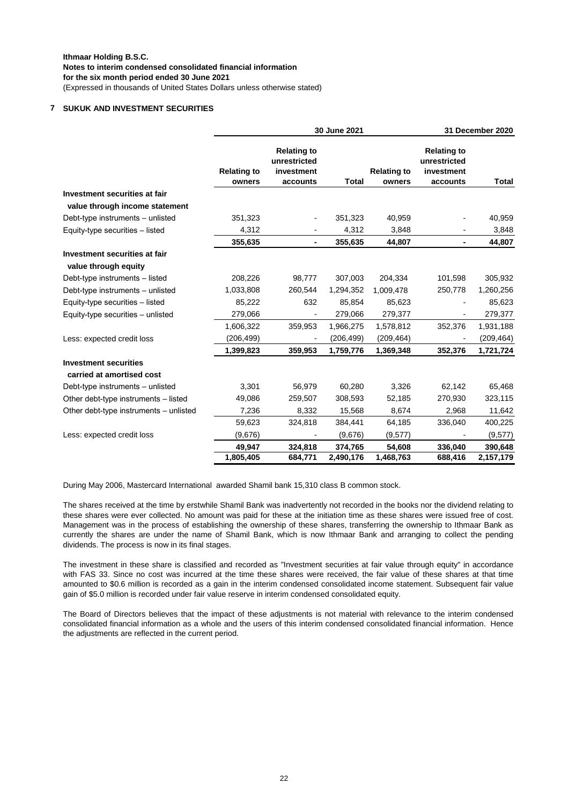### **7 SUKUK AND INVESTMENT SECURITIES**

|                                                              |                              | 30 June 2021                                                 |              |                              | 31 December 2020                                             |              |  |
|--------------------------------------------------------------|------------------------------|--------------------------------------------------------------|--------------|------------------------------|--------------------------------------------------------------|--------------|--|
|                                                              | <b>Relating to</b><br>owners | <b>Relating to</b><br>unrestricted<br>investment<br>accounts | <b>Total</b> | <b>Relating to</b><br>owners | <b>Relating to</b><br>unrestricted<br>investment<br>accounts | <b>Total</b> |  |
| Investment securities at fair                                |                              |                                                              |              |                              |                                                              |              |  |
| value through income statement                               |                              |                                                              |              |                              |                                                              |              |  |
| Debt-type instruments - unlisted                             | 351,323                      | $\overline{\phantom{a}}$                                     | 351,323      | 40,959                       |                                                              | 40,959       |  |
| Equity-type securities - listed                              | 4,312                        |                                                              | 4,312        | 3,848                        |                                                              | 3,848        |  |
|                                                              | 355,635                      | $\blacksquare$                                               | 355,635      | 44,807                       | ٠                                                            | 44,807       |  |
| <b>Investment securities at fair</b><br>value through equity |                              |                                                              |              |                              |                                                              |              |  |
| Debt-type instruments - listed                               | 208,226                      | 98,777                                                       | 307,003      | 204,334                      | 101,598                                                      | 305,932      |  |
| Debt-type instruments - unlisted                             | 1,033,808                    | 260,544                                                      | 1,294,352    | 1,009,478                    | 250,778                                                      | 1,260,256    |  |
| Equity-type securities - listed                              | 85,222                       | 632                                                          | 85,854       | 85,623                       |                                                              | 85,623       |  |
| Equity-type securities - unlisted                            | 279,066                      |                                                              | 279,066      | 279,377                      |                                                              | 279,377      |  |
|                                                              | 1,606,322                    | 359,953                                                      | 1,966,275    | 1,578,812                    | 352,376                                                      | 1,931,188    |  |
| Less: expected credit loss                                   | (206, 499)                   |                                                              | (206, 499)   | (209, 464)                   |                                                              | (209, 464)   |  |
|                                                              | 1,399,823                    | 359,953                                                      | 1,759,776    | 1,369,348                    | 352,376                                                      | 1,721,724    |  |
| <b>Investment securities</b>                                 |                              |                                                              |              |                              |                                                              |              |  |
| carried at amortised cost                                    |                              |                                                              |              |                              |                                                              |              |  |
| Debt-type instruments - unlisted                             | 3,301                        | 56,979                                                       | 60,280       | 3,326                        | 62,142                                                       | 65,468       |  |
| Other debt-type instruments - listed                         | 49,086                       | 259,507                                                      | 308,593      | 52,185                       | 270,930                                                      | 323,115      |  |
| Other debt-type instruments - unlisted                       | 7,236                        | 8,332                                                        | 15,568       | 8,674                        | 2,968                                                        | 11,642       |  |
|                                                              | 59,623                       | 324,818                                                      | 384,441      | 64,185                       | 336,040                                                      | 400,225      |  |
| Less: expected credit loss                                   | (9,676)                      |                                                              | (9,676)      | (9,577)                      |                                                              | (9,577)      |  |
|                                                              | 49,947                       | 324,818                                                      | 374,765      | 54,608                       | 336,040                                                      | 390,648      |  |
|                                                              | 1,805,405                    | 684,771                                                      | 2,490,176    | 1,468,763                    | 688,416                                                      | 2,157,179    |  |

During May 2006, Mastercard International awarded Shamil bank 15,310 class B common stock.

The shares received at the time by erstwhile Shamil Bank was inadvertently not recorded in the books nor the dividend relating to these shares were ever collected. No amount was paid for these at the initiation time as these shares were issued free of cost. Management was in the process of establishing the ownership of these shares, transferring the ownership to Ithmaar Bank as currently the shares are under the name of Shamil Bank, which is now Ithmaar Bank and arranging to collect the pending dividends. The process is now in its final stages.

The investment in these share is classified and recorded as "Investment securities at fair value through equity" in accordance with FAS 33. Since no cost was incurred at the time these shares were received, the fair value of these shares at that time amounted to \$0.6 million is recorded as a gain in the interim condensed consolidated income statement. Subsequent fair value gain of \$5.0 million is recorded under fair value reserve in interim condensed consolidated equity.

The Board of Directors believes that the impact of these adjustments is not material with relevance to the interim condensed consolidated financial information as a whole and the users of this interim condensed consolidated financial information. Hence the adjustments are reflected in the current period.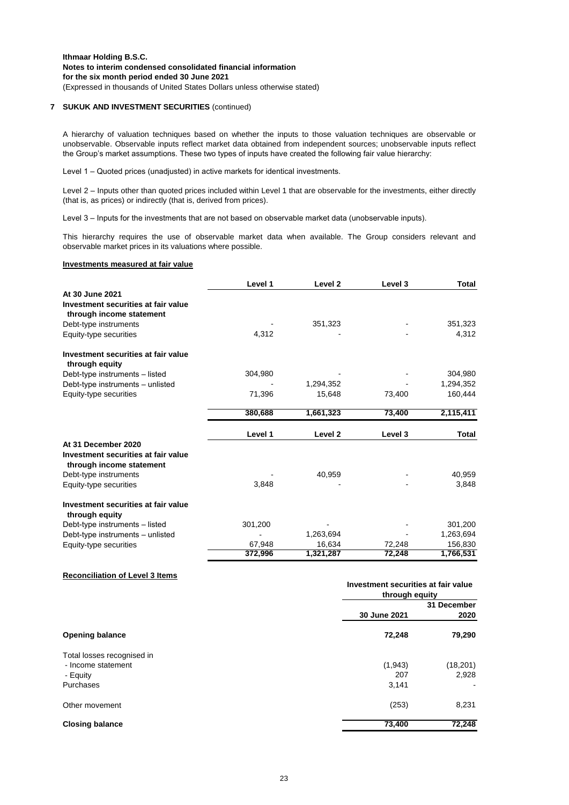#### **7 SUKUK AND INVESTMENT SECURITIES** (continued)

A hierarchy of valuation techniques based on whether the inputs to those valuation techniques are observable or unobservable. Observable inputs reflect market data obtained from independent sources; unobservable inputs reflect the Group's market assumptions. These two types of inputs have created the following fair value hierarchy:

Level 1 – Quoted prices (unadjusted) in active markets for identical investments.

Level 2 – Inputs other than quoted prices included within Level 1 that are observable for the investments, either directly (that is, as prices) or indirectly (that is, derived from prices).

Level 3 – Inputs for the investments that are not based on observable market data (unobservable inputs).

This hierarchy requires the use of observable market data when available. The Group considers relevant and observable market prices in its valuations where possible.

#### **Investments measured at fair value**

|                                                                 | Level 1 | Level <sub>2</sub> | Level 3 | <b>Total</b> |
|-----------------------------------------------------------------|---------|--------------------|---------|--------------|
| At 30 June 2021                                                 |         |                    |         |              |
| Investment securities at fair value<br>through income statement |         |                    |         |              |
| Debt-type instruments                                           |         | 351,323            |         | 351,323      |
| Equity-type securities                                          | 4,312   |                    |         | 4,312        |
| Investment securities at fair value<br>through equity           |         |                    |         |              |
| Debt-type instruments - listed                                  | 304,980 |                    |         | 304,980      |
| Debt-type instruments - unlisted                                |         | 1,294,352          |         | 1,294,352    |
| Equity-type securities                                          | 71,396  | 15,648             | 73,400  | 160,444      |
|                                                                 | 380,688 | 1,661,323          | 73,400  | 2,115,411    |
|                                                                 | Level 1 | Level <sub>2</sub> | Level 3 | <b>Total</b> |
| At 31 December 2020                                             |         |                    |         |              |
| Investment securities at fair value<br>through income statement |         |                    |         |              |
| Debt-type instruments                                           |         | 40,959             |         | 40,959       |
| Equity-type securities                                          | 3,848   |                    |         | 3,848        |
| Investment securities at fair value<br>through equity           |         |                    |         |              |
| Debt-type instruments - listed                                  | 301,200 |                    |         | 301,200      |
| Debt-type instruments - unlisted                                |         | 1,263,694          |         | 1,263,694    |
| Equity-type securities                                          | 67,948  | 16,634             | 72,248  | 156,830      |
|                                                                 | 372,996 | 1,321,287          | 72,248  | 1,766,531    |

#### **Reconciliation of Level 3 Items**

|                            | Investment securities at fair value<br>through equity |             |
|----------------------------|-------------------------------------------------------|-------------|
|                            |                                                       | 31 December |
|                            | 30 June 2021                                          | 2020        |
| <b>Opening balance</b>     | 72,248                                                | 79,290      |
| Total losses recognised in |                                                       |             |
| - Income statement         | (1,943)                                               | (18, 201)   |
| - Equity                   | 207                                                   | 2,928       |
| Purchases                  | 3,141                                                 |             |
| Other movement             | (253)                                                 | 8,231       |
| <b>Closing balance</b>     | 73,400                                                | 72,248      |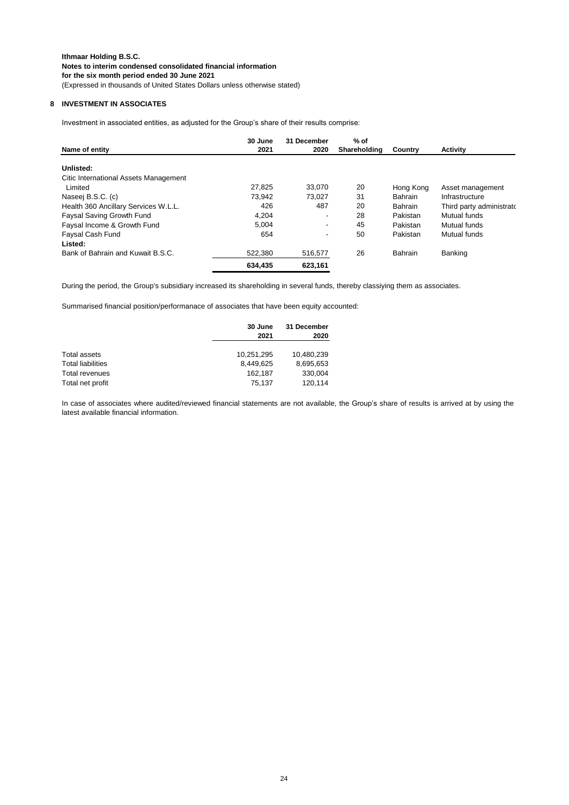### **8 INVESTMENT IN ASSOCIATES**

Investment in associated entities, as adjusted for the Group's share of their results comprise:

|                                       | 30 June | 31 December | $%$ of       |                |                          |
|---------------------------------------|---------|-------------|--------------|----------------|--------------------------|
| Name of entity                        | 2021    | 2020        | Shareholding | Country        | Activity                 |
| Unlisted:                             |         |             |              |                |                          |
| Citic International Assets Management |         |             |              |                |                          |
| Limited                               | 27.825  | 33.070      | 20           | Hong Kong      | Asset management         |
| Naseej B.S.C. (c)                     | 73.942  | 73.027      | 31           | <b>Bahrain</b> | Infrastructure           |
| Health 360 Ancillary Services W.L.L.  | 426     | 487         | 20           | <b>Bahrain</b> | Third party administrato |
| Faysal Saving Growth Fund             | 4,204   | ٠           | 28           | Pakistan       | Mutual funds             |
| Faysal Income & Growth Fund           | 5.004   | ٠           | 45           | Pakistan       | Mutual funds             |
| Faysal Cash Fund                      | 654     | ٠           | 50           | Pakistan       | Mutual funds             |
| Listed:                               |         |             |              |                |                          |
| Bank of Bahrain and Kuwait B.S.C.     | 522.380 | 516,577     | 26           | Bahrain        | Banking                  |
|                                       | 634.435 | 623.161     |              |                |                          |

During the period, the Group's subsidiary increased its shareholding in several funds, thereby classiying them as associates.

Summarised financial position/performanace of associates that have been equity accounted:

|                          | 30 June<br>2021 | 31 December<br>2020 |  |
|--------------------------|-----------------|---------------------|--|
| Total assets             | 10,251,295      | 10,480,239          |  |
| <b>Total liabilities</b> | 8.449.625       | 8,695,653           |  |
| Total revenues           | 162.187         | 330,004             |  |
| Total net profit         | 75.137          | 120.114             |  |

In case of associates where audited/reviewed financial statements are not available, the Group's share of results is arrived at by using the latest available financial information.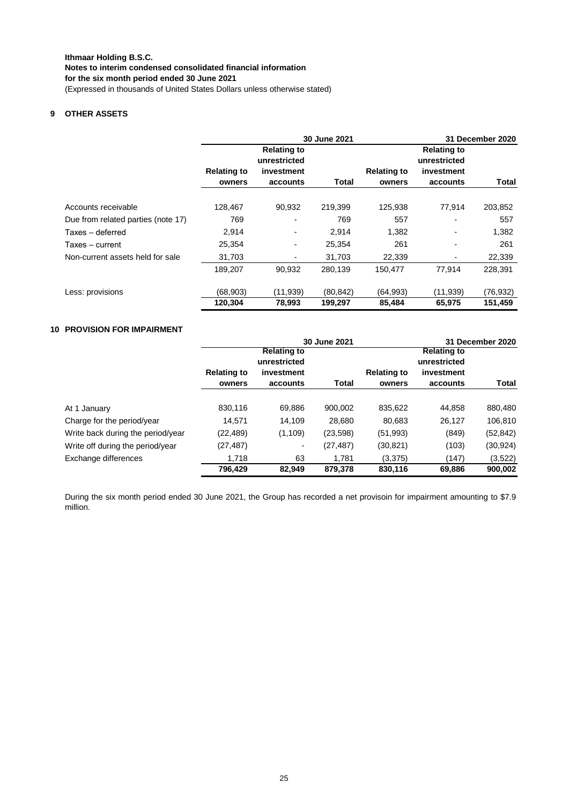### **9 OTHER ASSETS**

|                                    |                              |                                                              | 30 June 2021 |                              | <b>31 December 2020</b>                                      |           |
|------------------------------------|------------------------------|--------------------------------------------------------------|--------------|------------------------------|--------------------------------------------------------------|-----------|
|                                    | <b>Relating to</b><br>owners | <b>Relating to</b><br>unrestricted<br>investment<br>accounts | Total        | <b>Relating to</b><br>owners | <b>Relating to</b><br>unrestricted<br>investment<br>accounts | Total     |
|                                    |                              |                                                              |              |                              |                                                              |           |
| Accounts receivable                | 128,467                      | 90,932                                                       | 219,399      | 125,938                      | 77,914                                                       | 203,852   |
| Due from related parties (note 17) | 769                          |                                                              | 769          | 557                          |                                                              | 557       |
| Taxes - deferred                   | 2,914                        | -                                                            | 2.914        | 1,382                        | $\blacksquare$                                               | 1,382     |
| Taxes – current                    | 25,354                       | -                                                            | 25,354       | 261                          | $\overline{\phantom{a}}$                                     | 261       |
| Non-current assets held for sale   | 31,703                       |                                                              | 31,703       | 22,339                       |                                                              | 22,339    |
|                                    | 189.207                      | 90.932                                                       | 280,139      | 150.477                      | 77.914                                                       | 228.391   |
| Less: provisions                   | (68,903)                     | (11, 939)                                                    | (80, 842)    | (64, 993)                    | (11, 939)                                                    | (76, 932) |
|                                    | 120,304                      | 78,993                                                       | 199,297      | 85,484                       | 65,975                                                       | 151,459   |

### **10 PROVISION FOR IMPAIRMENT**

|                                   |                                    |                          | 30 June 2021 |                    | 31 December 2020                   |           |  |
|-----------------------------------|------------------------------------|--------------------------|--------------|--------------------|------------------------------------|-----------|--|
|                                   | <b>Relating to</b><br>unrestricted |                          |              |                    | <b>Relating to</b><br>unrestricted |           |  |
|                                   | <b>Relating to</b>                 | investment               |              | <b>Relating to</b> | investment                         |           |  |
|                                   | owners                             | accounts                 | Total        | owners             | accounts                           | Total     |  |
|                                   |                                    |                          |              |                    |                                    |           |  |
| At 1 January                      | 830,116                            | 69,886                   | 900,002      | 835,622            | 44,858                             | 880,480   |  |
| Charge for the period/year        | 14,571                             | 14,109                   | 28,680       | 80,683             | 26,127                             | 106,810   |  |
| Write back during the period/year | (22, 489)                          | (1, 109)                 | (23, 598)    | (51, 993)          | (849)                              | (52, 842) |  |
| Write off during the period/year  | (27, 487)                          | $\overline{\phantom{a}}$ | (27, 487)    | (30, 821)          | (103)                              | (30,924)  |  |
| Exchange differences              | 1.718                              | 63                       | 1.781        | (3,375)            | (147)                              | (3,522)   |  |
|                                   | 796.429                            | 82.949                   | 879,378      | 830,116            | 69.886                             | 900,002   |  |

During the six month period ended 30 June 2021, the Group has recorded a net provisoin for impairment amounting to \$7.9 million.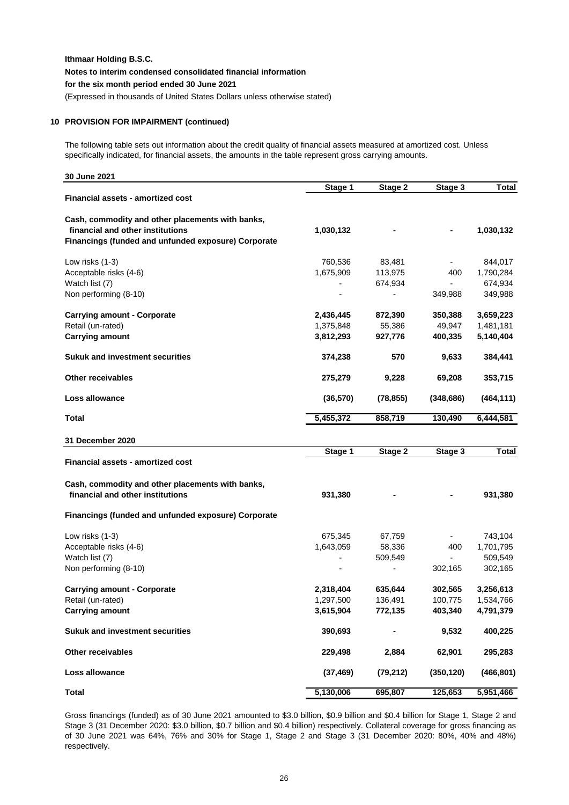(Expressed in thousands of United States Dollars unless otherwise stated)

### **10 PROVISION FOR IMPAIRMENT (continued)**

The following table sets out information about the credit quality of financial assets measured at amortized cost. Unless specifically indicated, for financial assets, the amounts in the table represent gross carrying amounts.

| 30 June 2021                                               |                          |                          |            |              |
|------------------------------------------------------------|--------------------------|--------------------------|------------|--------------|
|                                                            | Stage 1                  | Stage 2                  | Stage 3    | <b>Total</b> |
| <b>Financial assets - amortized cost</b>                   |                          |                          |            |              |
| Cash, commodity and other placements with banks,           |                          |                          |            |              |
| financial and other institutions                           | 1,030,132                |                          |            | 1,030,132    |
| Financings (funded and unfunded exposure) Corporate        |                          |                          |            |              |
| Low risks (1-3)                                            | 760,536                  | 83,481                   |            | 844,017      |
| Acceptable risks (4-6)                                     | 1,675,909                | 113,975                  | 400        | 1,790,284    |
| Watch list (7)                                             |                          | 674,934                  |            | 674,934      |
| Non performing (8-10)                                      |                          | $\blacksquare$           | 349,988    | 349,988      |
| <b>Carrying amount - Corporate</b>                         | 2,436,445                | 872,390                  | 350,388    | 3,659,223    |
| Retail (un-rated)                                          | 1,375,848                | 55,386                   | 49,947     | 1,481,181    |
| <b>Carrying amount</b>                                     | 3,812,293                | 927,776                  | 400,335    | 5,140,404    |
| <b>Sukuk and investment securities</b>                     | 374,238                  | 570                      | 9,633      | 384,441      |
| <b>Other receivables</b>                                   | 275,279                  | 9,228                    | 69,208     | 353,715      |
| Loss allowance                                             | (36, 570)                | (78, 855)                | (348, 686) | (464, 111)   |
| Total                                                      | 5,455,372                | 858,719                  | 130,490    | 6,444,581    |
|                                                            |                          |                          |            |              |
| 31 December 2020                                           | Stage 1                  | Stage 2                  | Stage 3    | <b>Total</b> |
| Financial assets - amortized cost                          |                          |                          |            |              |
| Cash, commodity and other placements with banks,           |                          |                          |            |              |
| financial and other institutions                           | 931,380                  |                          |            | 931,380      |
|                                                            |                          |                          |            |              |
| <b>Financings (funded and unfunded exposure) Corporate</b> |                          |                          |            |              |
| Low risks (1-3)                                            | 675,345                  | 67,759                   |            | 743,104      |
| Acceptable risks (4-6)                                     | 1,643,059                | 58,336                   | 400        | 1,701,795    |
| Watch list (7)                                             | $\blacksquare$           | 509,549                  |            | 509,549      |
| Non performing (8-10)                                      | $\overline{\phantom{a}}$ | $\overline{\phantom{a}}$ | 302,165    | 302,165      |
| <b>Carrying amount - Corporate</b>                         | 2,318,404                | 635,644                  | 302,565    | 3,256,613    |
| Retail (un-rated)                                          | 1,297,500                | 136,491                  | 100,775    | 1,534,766    |
| <b>Carrying amount</b>                                     | 3,615,904                | 772,135                  | 403,340    | 4,791,379    |
| <b>Sukuk and investment securities</b>                     | 390,693                  |                          | 9,532      | 400,225      |
| Other receivables                                          | 229,498                  | 2,884                    | 62,901     | 295,283      |
| Loss allowance                                             | (37, 469)                | (79, 212)                | (350, 120) | (466, 801)   |
| <b>Total</b>                                               | 5,130,006                | 695,807                  | 125,653    | 5,951,466    |

Gross financings (funded) as of 30 June 2021 amounted to \$3.0 billion, \$0.9 billion and \$0.4 billion for Stage 1, Stage 2 and Stage 3 (31 December 2020: \$3.0 billion, \$0.7 billion and \$0.4 billion) respectively. Collateral coverage for gross financing as of 30 June 2021 was 64%, 76% and 30% for Stage 1, Stage 2 and Stage 3 (31 December 2020: 80%, 40% and 48%) respectively.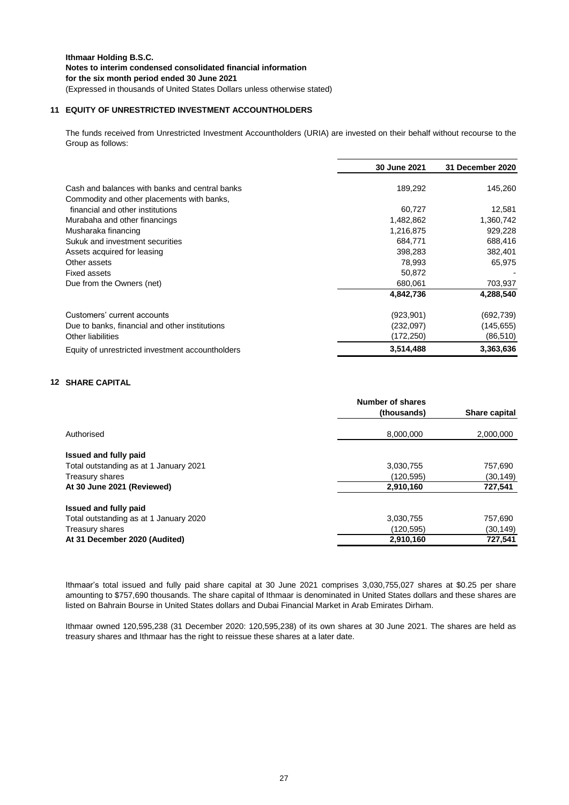### **11 EQUITY OF UNRESTRICTED INVESTMENT ACCOUNTHOLDERS**

The funds received from Unrestricted Investment Accountholders (URIA) are invested on their behalf without recourse to the Group as follows:

|                                                  | 30 June 2021 | 31 December 2020 |
|--------------------------------------------------|--------------|------------------|
| Cash and balances with banks and central banks   | 189,292      | 145,260          |
| Commodity and other placements with banks,       |              |                  |
| financial and other institutions                 | 60,727       | 12,581           |
| Murabaha and other financings                    | 1,482,862    | 1,360,742        |
| Musharaka financing                              | 1,216,875    | 929,228          |
| Sukuk and investment securities                  | 684,771      | 688,416          |
| Assets acquired for leasing                      | 398,283      | 382,401          |
| Other assets                                     | 78,993       | 65,975           |
| <b>Fixed assets</b>                              | 50,872       |                  |
| Due from the Owners (net)                        | 680,061      | 703,937          |
|                                                  | 4,842,736    | 4,288,540        |
| Customers' current accounts                      | (923,901)    | (692, 739)       |
| Due to banks, financial and other institutions   | (232,097)    | (145, 655)       |
| Other liabilities                                | (172,250)    | (86, 510)        |
| Equity of unrestricted investment accountholders | 3,514,488    | 3,363,636        |

### **12 SHARE CAPITAL**

|                                        | Number of shares |                      |
|----------------------------------------|------------------|----------------------|
|                                        | (thousands)      | <b>Share capital</b> |
| Authorised                             | 8,000,000        | 2,000,000            |
| Issued and fully paid                  |                  |                      |
| Total outstanding as at 1 January 2021 | 3,030,755        | 757,690              |
| Treasury shares                        | (120, 595)       | (30, 149)            |
| At 30 June 2021 (Reviewed)             | 2,910,160        | 727,541              |
| Issued and fully paid                  |                  |                      |
| Total outstanding as at 1 January 2020 | 3,030,755        | 757,690              |
| Treasury shares                        | (120, 595)       | (30, 149)            |
| At 31 December 2020 (Audited)          | 2,910,160        | 727,541              |

Ithmaar's total issued and fully paid share capital at 30 June 2021 comprises 3,030,755,027 shares at \$0.25 per share amounting to \$757,690 thousands. The share capital of Ithmaar is denominated in United States dollars and these shares are listed on Bahrain Bourse in United States dollars and Dubai Financial Market in Arab Emirates Dirham.

Ithmaar owned 120,595,238 (31 December 2020: 120,595,238) of its own shares at 30 June 2021. The shares are held as treasury shares and Ithmaar has the right to reissue these shares at a later date.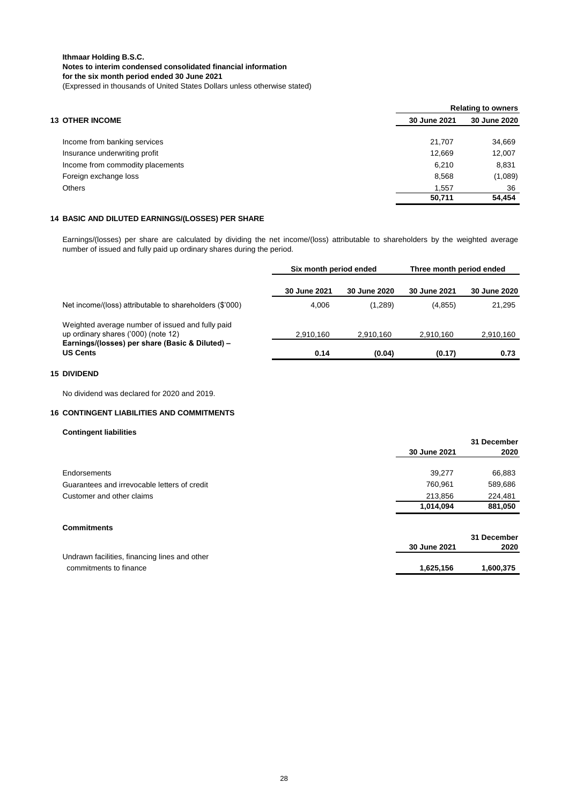|                                  | <b>Relating to owners</b> |              |  |  |
|----------------------------------|---------------------------|--------------|--|--|
| <b>13 OTHER INCOME</b>           | 30 June 2021              | 30 June 2020 |  |  |
| Income from banking services     | 21.707                    | 34,669       |  |  |
| Insurance underwriting profit    | 12,669                    | 12,007       |  |  |
| Income from commodity placements | 6.210                     | 8,831        |  |  |
| Foreign exchange loss            | 8,568                     | (1,089)      |  |  |
| <b>Others</b>                    | 1.557                     | 36           |  |  |
|                                  | 50,711                    | 54,454       |  |  |

### **14 BASIC AND DILUTED EARNINGS/(LOSSES) PER SHARE**

Earnings/(losses) per share are calculated by dividing the net income/(loss) attributable to shareholders by the weighted average number of issued and fully paid up ordinary shares during the period.

|                                                                                         | Six month period ended |              | Three month period ended |              |
|-----------------------------------------------------------------------------------------|------------------------|--------------|--------------------------|--------------|
|                                                                                         | 30 June 2021           | 30 June 2020 | 30 June 2021             | 30 June 2020 |
| Net income/(loss) attributable to shareholders (\$'000)                                 | 4,006                  | (1,289)      | (4, 855)                 | 21,295       |
| Weighted average number of issued and fully paid<br>up ordinary shares ('000) (note 12) | 2,910,160              | 2.910.160    | 2.910.160                | 2,910,160    |
| Earnings/(losses) per share (Basic & Diluted) -<br><b>US Cents</b>                      | 0.14                   | (0.04)       | (0.17)                   | 0.73         |

#### **15 DIVIDEND**

No dividend was declared for 2020 and 2019.

#### **16 CONTINGENT LIABILITIES AND COMMITMENTS**

#### **Contingent liabilities**

|                                               |              | 31 December |
|-----------------------------------------------|--------------|-------------|
|                                               | 30 June 2021 | 2020        |
|                                               |              |             |
| Endorsements                                  | 39,277       | 66,883      |
| Guarantees and irrevocable letters of credit  | 760,961      | 589,686     |
| Customer and other claims                     | 213,856      | 224,481     |
|                                               | 1,014,094    | 881,050     |
| <b>Commitments</b>                            |              |             |
|                                               |              | 31 December |
|                                               | 30 June 2021 | 2020        |
| Undrawn facilities, financing lines and other |              |             |
| commitments to finance                        | 1,625,156    | 1,600,375   |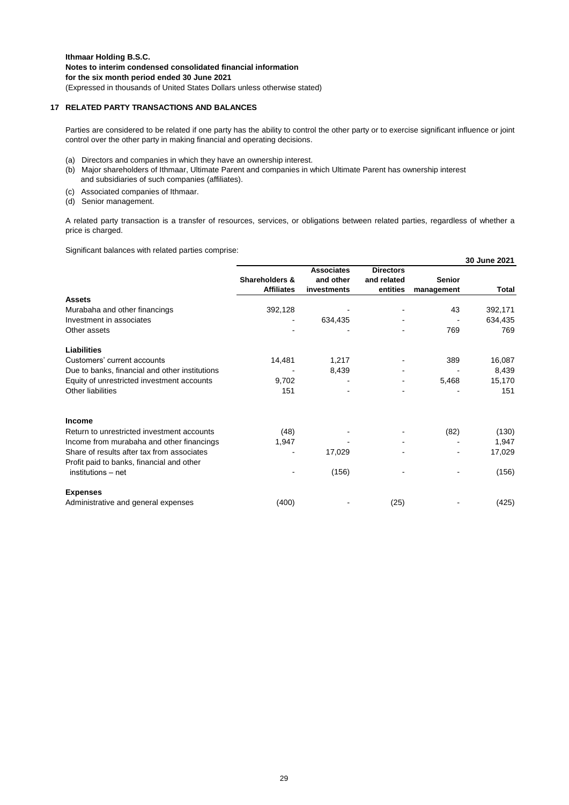#### **17 RELATED PARTY TRANSACTIONS AND BALANCES**

Parties are considered to be related if one party has the ability to control the other party or to exercise significant influence or joint control over the other party in making financial and operating decisions.

- (a) Directors and companies in which they have an ownership interest.
- (b) Major shareholders of Ithmaar, Ultimate Parent and companies in which Ultimate Parent has ownership interest and subsidiaries of such companies (affiliates).
- (c) Associated companies of Ithmaar.
- (d) Senior management.

A related party transaction is a transfer of resources, services, or obligations between related parties, regardless of whether a price is charged.

Significant balances with related parties comprise:

|                                                | 30 June 2021      |                   |                  |               |         |  |  |
|------------------------------------------------|-------------------|-------------------|------------------|---------------|---------|--|--|
|                                                |                   | <b>Associates</b> | <b>Directors</b> |               |         |  |  |
|                                                | Shareholders &    | and other         | and related      | <b>Senior</b> |         |  |  |
|                                                | <b>Affiliates</b> | investments       | entities         | management    | Total   |  |  |
| <b>Assets</b>                                  |                   |                   |                  |               |         |  |  |
| Murabaha and other financings                  | 392,128           |                   |                  | 43            | 392,171 |  |  |
| Investment in associates                       |                   | 634,435           |                  |               | 634,435 |  |  |
| Other assets                                   |                   |                   |                  | 769           | 769     |  |  |
| <b>Liabilities</b>                             |                   |                   |                  |               |         |  |  |
| Customers' current accounts                    | 14,481            | 1,217             |                  | 389           | 16,087  |  |  |
| Due to banks, financial and other institutions |                   | 8,439             |                  |               | 8,439   |  |  |
| Equity of unrestricted investment accounts     | 9,702             |                   |                  | 5,468         | 15,170  |  |  |
| Other liabilities                              | 151               |                   |                  |               | 151     |  |  |
| <b>Income</b>                                  |                   |                   |                  |               |         |  |  |
| Return to unrestricted investment accounts     | (48)              |                   |                  | (82)          | (130)   |  |  |
| Income from murabaha and other financings      | 1,947             |                   |                  |               | 1,947   |  |  |
| Share of results after tax from associates     |                   | 17,029            |                  |               | 17,029  |  |  |
| Profit paid to banks, financial and other      |                   |                   |                  |               |         |  |  |
| institutions – net                             |                   | (156)             |                  |               | (156)   |  |  |
| <b>Expenses</b>                                |                   |                   |                  |               |         |  |  |
| Administrative and general expenses            | (400)             |                   | (25)             |               | (425)   |  |  |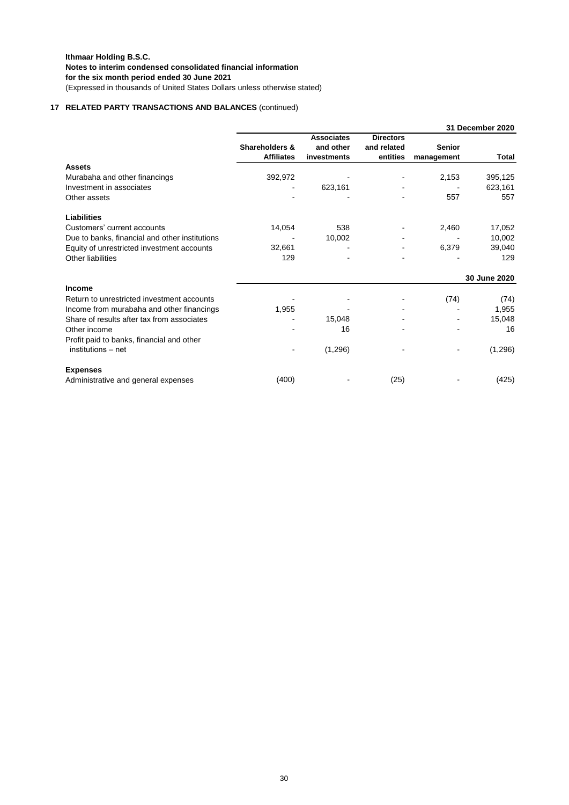### **17 RELATED PARTY TRANSACTIONS AND BALANCES** (continued)

|                                                |                                     |                                               |                                             | 31 December 2020            |              |
|------------------------------------------------|-------------------------------------|-----------------------------------------------|---------------------------------------------|-----------------------------|--------------|
|                                                | Shareholders &<br><b>Affiliates</b> | <b>Associates</b><br>and other<br>investments | <b>Directors</b><br>and related<br>entities | <b>Senior</b><br>management | Total        |
| <b>Assets</b>                                  |                                     |                                               |                                             |                             |              |
| Murabaha and other financings                  | 392,972                             |                                               |                                             | 2,153                       | 395,125      |
| Investment in associates                       |                                     | 623,161                                       |                                             |                             | 623,161      |
| Other assets                                   |                                     |                                               |                                             | 557                         | 557          |
| <b>Liabilities</b>                             |                                     |                                               |                                             |                             |              |
| Customers' current accounts                    | 14,054                              | 538                                           |                                             | 2,460                       | 17,052       |
| Due to banks, financial and other institutions |                                     | 10,002                                        |                                             |                             | 10,002       |
| Equity of unrestricted investment accounts     | 32,661                              |                                               |                                             | 6,379                       | 39,040       |
| Other liabilities                              | 129                                 |                                               |                                             |                             | 129          |
|                                                |                                     |                                               |                                             |                             | 30 June 2020 |
| <b>Income</b>                                  |                                     |                                               |                                             |                             |              |
| Return to unrestricted investment accounts     |                                     |                                               |                                             | (74)                        | (74)         |
| Income from murabaha and other financings      | 1,955                               |                                               |                                             |                             | 1,955        |
| Share of results after tax from associates     |                                     | 15,048                                        |                                             |                             | 15,048       |
| Other income                                   |                                     | 16                                            |                                             |                             | 16           |
| Profit paid to banks, financial and other      |                                     |                                               |                                             |                             |              |
| institutions - net                             |                                     | (1,296)                                       |                                             |                             | (1,296)      |
| <b>Expenses</b>                                |                                     |                                               |                                             |                             |              |
| Administrative and general expenses            | (400)                               |                                               | (25)                                        |                             | (425)        |